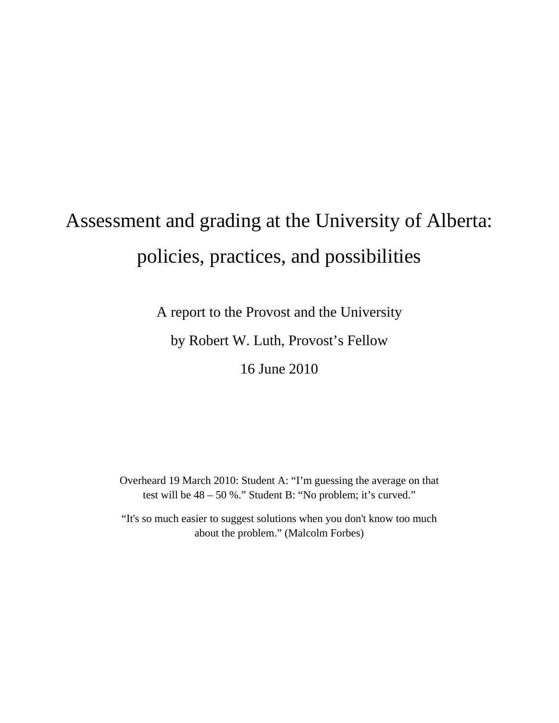# Assessment and grading at the University of Alberta: policies, practices, and possibilities

A report to the Provost and the University

by Robert W. Luth, Provost's Fellow

16 June 2010

Overheard 19 March 2010: Student A: "I'm guessing the average on that test will be 48 – 50 %." Student B: "No problem; it's curved."

"It's so much easier to suggest solutions when you don't know too much about the problem." (Malcolm Forbes)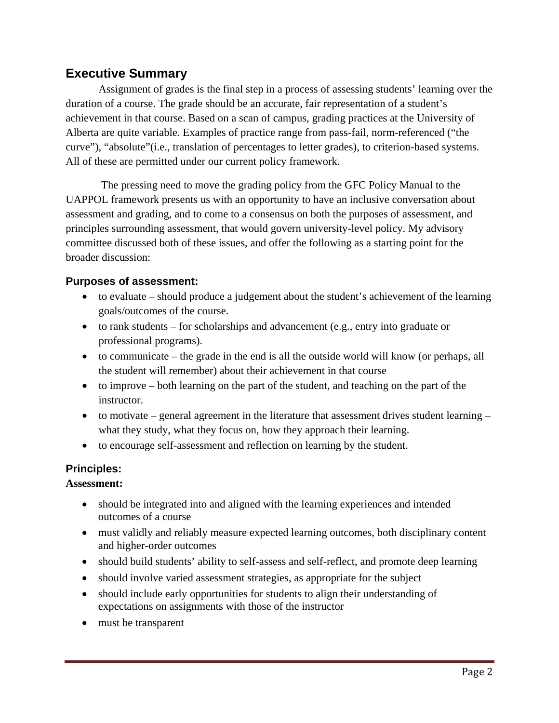# **Executive Summary**

 Assignment of grades is the final step in a process of assessing students' learning over the duration of a course. The grade should be an accurate, fair representation of a student's achievement in that course. Based on a scan of campus, grading practices at the University of Alberta are quite variable. Examples of practice range from pass-fail, norm-referenced ("the curve"), "absolute"(i.e., translation of percentages to letter grades), to criterion-based systems. All of these are permitted under our current policy framework.

 The pressing need to move the grading policy from the GFC Policy Manual to the UAPPOL framework presents us with an opportunity to have an inclusive conversation about assessment and grading, and to come to a consensus on both the purposes of assessment, and principles surrounding assessment, that would govern university-level policy. My advisory committee discussed both of these issues, and offer the following as a starting point for the broader discussion:

## **Purposes of assessment:**

- to evaluate should produce a judgement about the student's achievement of the learning goals/outcomes of the course.
- to rank students for scholarships and advancement (e.g., entry into graduate or professional programs).
- $\bullet$  to communicate the grade in the end is all the outside world will know (or perhaps, all the student will remember) about their achievement in that course
- to improve both learning on the part of the student, and teaching on the part of the instructor.
- $\bullet$  to motivate general agreement in the literature that assessment drives student learning what they study, what they focus on, how they approach their learning.
- to encourage self-assessment and reflection on learning by the student.

### **Principles:**

### **Assessment:**

- should be integrated into and aligned with the learning experiences and intended outcomes of a course
- must validly and reliably measure expected learning outcomes, both disciplinary content and higher-order outcomes
- should build students' ability to self-assess and self-reflect, and promote deep learning
- should involve varied assessment strategies, as appropriate for the subject
- should include early opportunities for students to align their understanding of expectations on assignments with those of the instructor
- must be transparent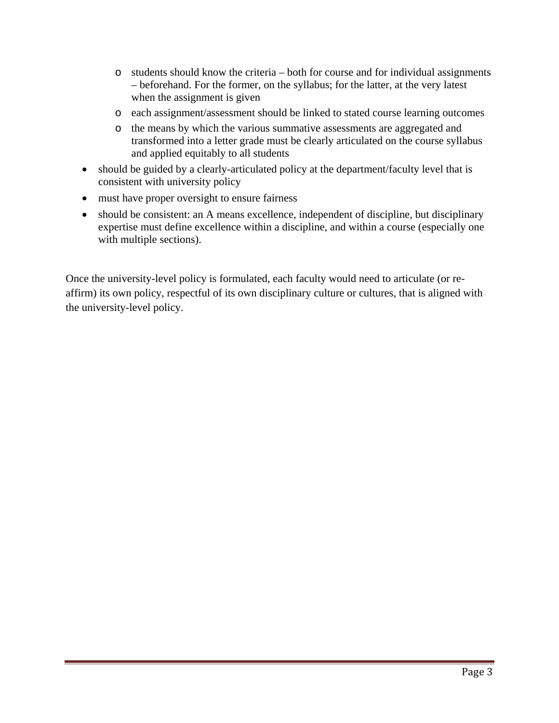- o students should know the criteria both for course and for individual assignments – beforehand. For the former, on the syllabus; for the latter, at the very latest when the assignment is given
- o each assignment/assessment should be linked to stated course learning outcomes
- o the means by which the various summative assessments are aggregated and transformed into a letter grade must be clearly articulated on the course syllabus and applied equitably to all students
- should be guided by a clearly-articulated policy at the department/faculty level that is consistent with university policy
- must have proper oversight to ensure fairness
- should be consistent: an A means excellence, independent of discipline, but disciplinary expertise must define excellence within a discipline, and within a course (especially one with multiple sections).

Once the university-level policy is formulated, each faculty would need to articulate (or reaffirm) its own policy, respectful of its own disciplinary culture or cultures, that is aligned with the university-level policy.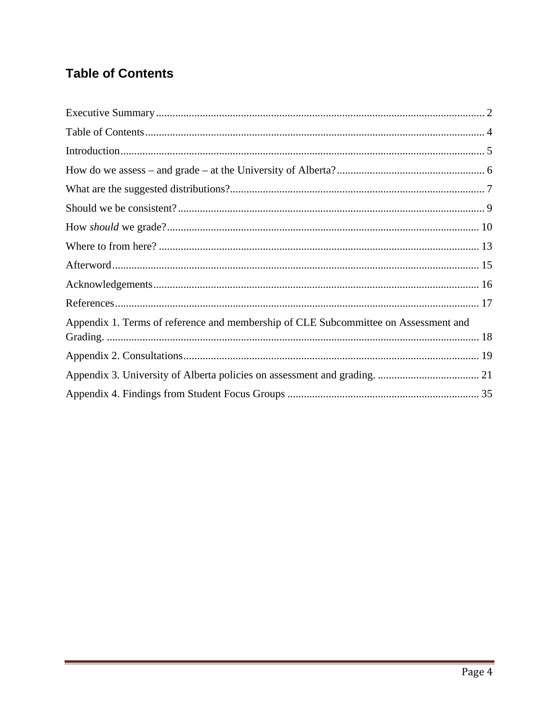# **Table of Contents**

| Appendix 1. Terms of reference and membership of CLE Subcommittee on Assessment and |  |
|-------------------------------------------------------------------------------------|--|
|                                                                                     |  |
|                                                                                     |  |
|                                                                                     |  |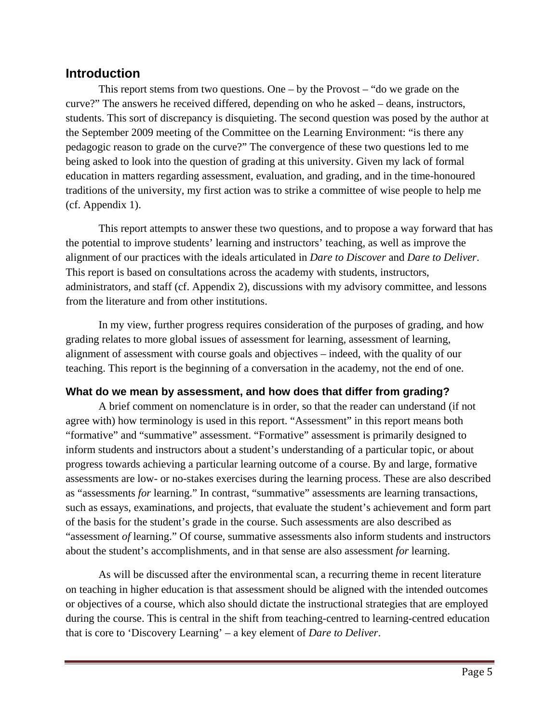# **Introduction**

 This report stems from two questions. One – by the Provost – "do we grade on the curve?" The answers he received differed, depending on who he asked – deans, instructors, students. This sort of discrepancy is disquieting. The second question was posed by the author at the September 2009 meeting of the Committee on the Learning Environment: "is there any pedagogic reason to grade on the curve?" The convergence of these two questions led to me being asked to look into the question of grading at this university. Given my lack of formal education in matters regarding assessment, evaluation, and grading, and in the time-honoured traditions of the university, my first action was to strike a committee of wise people to help me (cf. Appendix 1).

 This report attempts to answer these two questions, and to propose a way forward that has the potential to improve students' learning and instructors' teaching, as well as improve the alignment of our practices with the ideals articulated in *Dare to Discover* and *Dare to Deliver*. This report is based on consultations across the academy with students, instructors, administrators, and staff (cf. Appendix 2), discussions with my advisory committee, and lessons from the literature and from other institutions.

In my view, further progress requires consideration of the purposes of grading, and how grading relates to more global issues of assessment for learning, assessment of learning, alignment of assessment with course goals and objectives – indeed, with the quality of our teaching. This report is the beginning of a conversation in the academy, not the end of one.

## **What do we mean by assessment, and how does that differ from grading?**

 A brief comment on nomenclature is in order, so that the reader can understand (if not agree with) how terminology is used in this report. "Assessment" in this report means both "formative" and "summative" assessment. "Formative" assessment is primarily designed to inform students and instructors about a student's understanding of a particular topic, or about progress towards achieving a particular learning outcome of a course. By and large, formative assessments are low- or no-stakes exercises during the learning process. These are also described as "assessments *for* learning." In contrast, "summative" assessments are learning transactions, such as essays, examinations, and projects, that evaluate the student's achievement and form part of the basis for the student's grade in the course. Such assessments are also described as "assessment *of* learning." Of course, summative assessments also inform students and instructors about the student's accomplishments, and in that sense are also assessment *for* learning.

As will be discussed after the environmental scan, a recurring theme in recent literature on teaching in higher education is that assessment should be aligned with the intended outcomes or objectives of a course, which also should dictate the instructional strategies that are employed during the course. This is central in the shift from teaching-centred to learning-centred education that is core to 'Discovery Learning' – a key element of *Dare to Deliver*.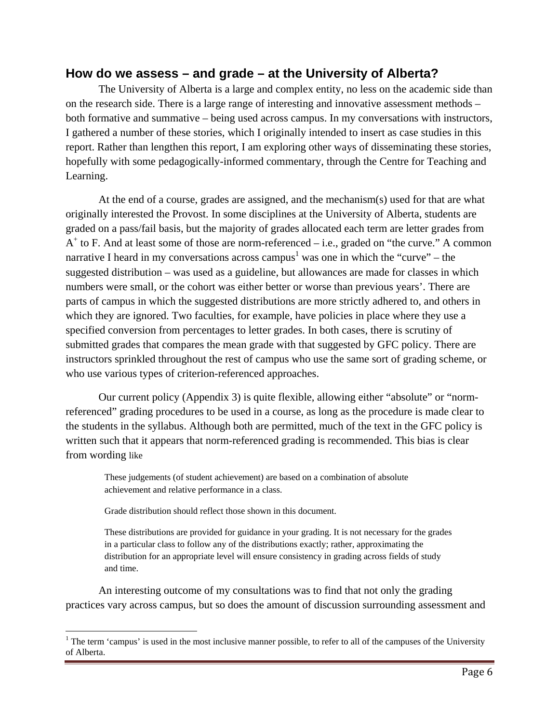# **How do we assess – and grade – at the University of Alberta?**

 The University of Alberta is a large and complex entity, no less on the academic side than on the research side. There is a large range of interesting and innovative assessment methods – both formative and summative – being used across campus. In my conversations with instructors, I gathered a number of these stories, which I originally intended to insert as case studies in this report. Rather than lengthen this report, I am exploring other ways of disseminating these stories, hopefully with some pedagogically-informed commentary, through the Centre for Teaching and Learning.

At the end of a course, grades are assigned, and the mechanism(s) used for that are what originally interested the Provost. In some disciplines at the University of Alberta, students are graded on a pass/fail basis, but the majority of grades allocated each term are letter grades from  $A^+$  to F. And at least some of those are norm-referenced – i.e., graded on "the curve." A common narrative I heard in my conversations across campus<sup>1</sup> was one in which the "curve" – the suggested distribution – was used as a guideline, but allowances are made for classes in which numbers were small, or the cohort was either better or worse than previous years'. There are parts of campus in which the suggested distributions are more strictly adhered to, and others in which they are ignored. Two faculties, for example, have policies in place where they use a specified conversion from percentages to letter grades. In both cases, there is scrutiny of submitted grades that compares the mean grade with that suggested by GFC policy. There are instructors sprinkled throughout the rest of campus who use the same sort of grading scheme, or who use various types of criterion-referenced approaches.

 Our current policy (Appendix 3) is quite flexible, allowing either "absolute" or "normreferenced" grading procedures to be used in a course, as long as the procedure is made clear to the students in the syllabus. Although both are permitted, much of the text in the GFC policy is written such that it appears that norm-referenced grading is recommended. This bias is clear from wording like

These judgements (of student achievement) are based on a combination of absolute achievement and relative performance in a class.

Grade distribution should reflect those shown in this document.

 $\overline{a}$ 

These distributions are provided for guidance in your grading. It is not necessary for the grades in a particular class to follow any of the distributions exactly; rather, approximating the distribution for an appropriate level will ensure consistency in grading across fields of study and time.

An interesting outcome of my consultations was to find that not only the grading practices vary across campus, but so does the amount of discussion surrounding assessment and

<sup>&</sup>lt;sup>1</sup> The term 'campus' is used in the most inclusive manner possible, to refer to all of the campuses of the University of Alberta.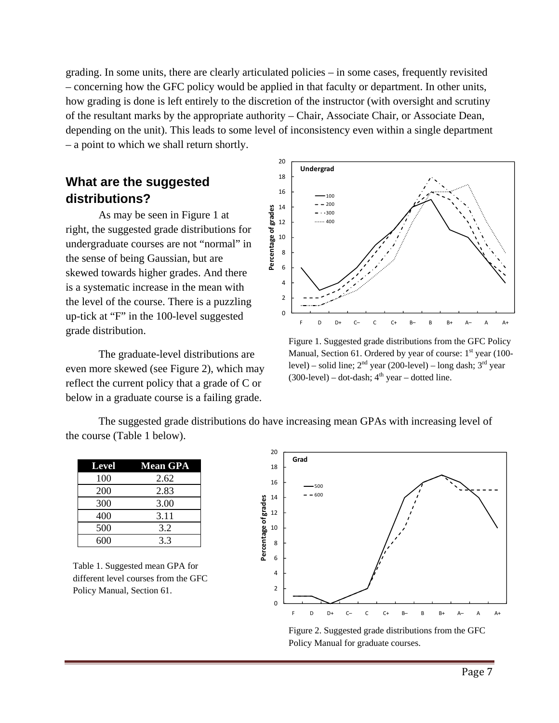grading. In some units, there are clearly articulated policies – in some cases, frequently revisited – concerning how the GFC policy would be applied in that faculty or department. In other units, how grading is done is left entirely to the discretion of the instructor (with oversight and scrutiny of the resultant marks by the appropriate authority – Chair, Associate Chair, or Associate Dean, depending on the unit). This leads to some level of inconsistency even within a single department – a point to which we shall return shortly.

# **What are the suggested distributions?**

As may be seen in Figure 1 at right, the suggested grade distributions for undergraduate courses are not "normal" in the sense of being Gaussian, but are skewed towards higher grades. And there is a systematic increase in the mean with the level of the course. There is a puzzling up-tick at "F" in the 100-level suggested grade distribution.

The graduate-level distributions are even more skewed (see Figure 2), which may reflect the current policy that a grade of C or below in a graduate course is a failing grade.



Figure 1. Suggested grade distributions from the GFC Policy Manual, Section 61. Ordered by year of course:  $1<sup>st</sup>$  year (100level) – solid line;  $2<sup>nd</sup>$  year (200-level) – long dash;  $3<sup>rd</sup>$  year  $(300$ -level) – dot-dash;  $4<sup>th</sup>$  year – dotted line.

The suggested grade distributions do have increasing mean GPAs with increasing level of the course (Table 1 below).

| <b>Level</b> | <b>Mean GPA</b> |
|--------------|-----------------|
| 100          | 2.62            |
| 200          | 2.83            |
| 300          | 3.00            |
| 400          | 3.11            |
| 500          | 3.2             |
| 600          | 3.3             |

Table 1. Suggested mean GPA for different level courses from the GFC Policy Manual, Section 61.



Figure 2. Suggested grade distributions from the GFC Policy Manual for graduate courses.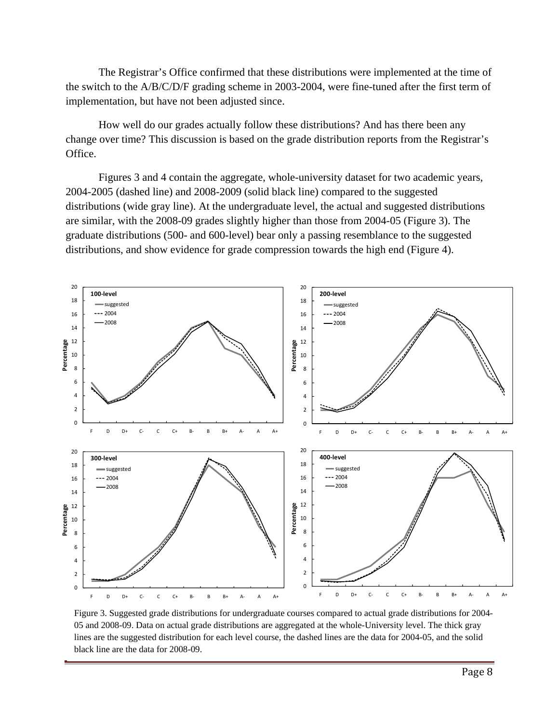The Registrar's Office confirmed that these distributions were implemented at the time of the switch to the A/B/C/D/F grading scheme in 2003-2004, were fine-tuned after the first term of implementation, but have not been adjusted since.

How well do our grades actually follow these distributions? And has there been any change over time? This discussion is based on the grade distribution reports from the Registrar's Office.

Figures 3 and 4 contain the aggregate, whole-university dataset for two academic years, 2004-2005 (dashed line) and 2008-2009 (solid black line) compared to the suggested distributions (wide gray line). At the undergraduate level, the actual and suggested distributions are similar, with the 2008-09 grades slightly higher than those from 2004-05 (Figure 3). The graduate distributions (500- and 600-level) bear only a passing resemblance to the suggested distributions, and show evidence for grade compression towards the high end (Figure 4).



Figure 3. Suggested grade distributions for undergraduate courses compared to actual grade distributions for 2004- 05 and 2008-09. Data on actual grade distributions are aggregated at the whole-University level. The thick gray lines are the suggested distribution for each level course, the dashed lines are the data for 2004-05, and the solid black line are the data for 2008-09.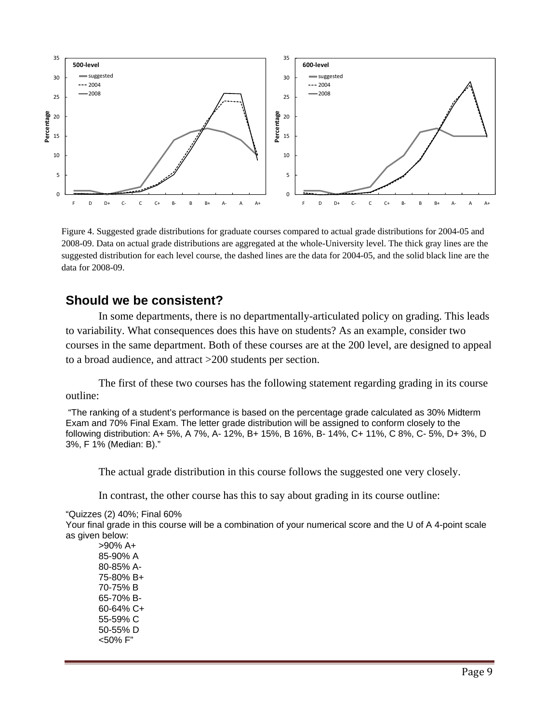

Figure 4. Suggested grade distributions for graduate courses compared to actual grade distributions for 2004-05 and 2008-09. Data on actual grade distributions are aggregated at the whole-University level. The thick gray lines are the suggested distribution for each level course, the dashed lines are the data for 2004-05, and the solid black line are the data for 2008-09.

# **Should we be consistent?**

In some departments, there is no departmentally-articulated policy on grading. This leads to variability. What consequences does this have on students? As an example, consider two courses in the same department. Both of these courses are at the 200 level, are designed to appeal to a broad audience, and attract >200 students per section.

The first of these two courses has the following statement regarding grading in its course outline:

 "The ranking of a student's performance is based on the percentage grade calculated as 30% Midterm Exam and 70% Final Exam. The letter grade distribution will be assigned to conform closely to the following distribution: A+ 5%, A 7%, A- 12%, B+ 15%, B 16%, B- 14%, C+ 11%, C 8%, C- 5%, D+ 3%, D 3%, F 1% (Median: B)."

The actual grade distribution in this course follows the suggested one very closely.

In contrast, the other course has this to say about grading in its course outline:

#### "Quizzes (2) 40%; Final 60%

Your final grade in this course will be a combination of your numerical score and the U of A 4-point scale as given below:

>90% A+ 85-90% A 80-85% A-75-80% B+ 70-75% B 65-70% B-60-64% C+ 55-59% C 50-55% D <50% F"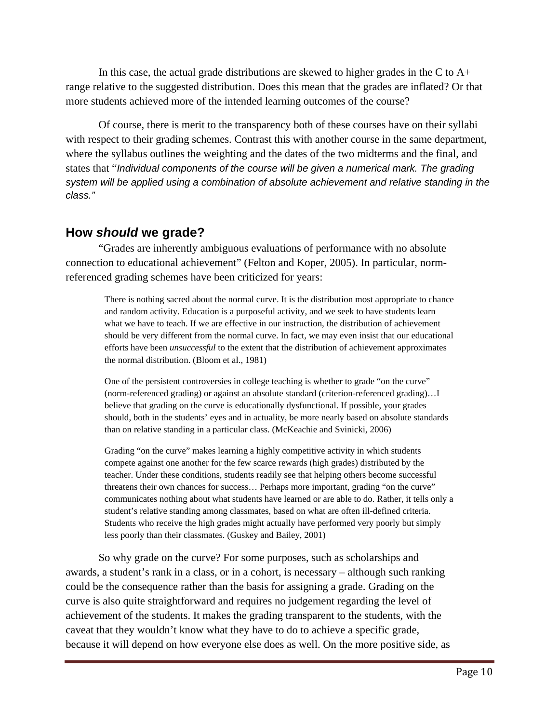In this case, the actual grade distributions are skewed to higher grades in the C to  $A<sup>+</sup>$ range relative to the suggested distribution. Does this mean that the grades are inflated? Or that more students achieved more of the intended learning outcomes of the course?

Of course, there is merit to the transparency both of these courses have on their syllabi with respect to their grading schemes. Contrast this with another course in the same department, where the syllabus outlines the weighting and the dates of the two midterms and the final, and states that "*Individual components of the course will be given a numerical mark. The grading system will be applied using a combination of absolute achievement and relative standing in the class."* 

# **How** *should* **we grade?**

"Grades are inherently ambiguous evaluations of performance with no absolute connection to educational achievement" (Felton and Koper, 2005). In particular, normreferenced grading schemes have been criticized for years:

> There is nothing sacred about the normal curve. It is the distribution most appropriate to chance and random activity. Education is a purposeful activity, and we seek to have students learn what we have to teach. If we are effective in our instruction, the distribution of achievement should be very different from the normal curve. In fact, we may even insist that our educational efforts have been *unsuccessful* to the extent that the distribution of achievement approximates the normal distribution. (Bloom et al., 1981)

One of the persistent controversies in college teaching is whether to grade "on the curve" (norm-referenced grading) or against an absolute standard (criterion-referenced grading)…I believe that grading on the curve is educationally dysfunctional. If possible, your grades should, both in the students' eyes and in actuality, be more nearly based on absolute standards than on relative standing in a particular class. (McKeachie and Svinicki, 2006)

Grading "on the curve" makes learning a highly competitive activity in which students compete against one another for the few scarce rewards (high grades) distributed by the teacher. Under these conditions, students readily see that helping others become successful threatens their own chances for success… Perhaps more important, grading "on the curve" communicates nothing about what students have learned or are able to do. Rather, it tells only a student's relative standing among classmates, based on what are often ill-defined criteria. Students who receive the high grades might actually have performed very poorly but simply less poorly than their classmates. (Guskey and Bailey, 2001)

So why grade on the curve? For some purposes, such as scholarships and awards, a student's rank in a class, or in a cohort, is necessary – although such ranking could be the consequence rather than the basis for assigning a grade. Grading on the curve is also quite straightforward and requires no judgement regarding the level of achievement of the students. It makes the grading transparent to the students, with the caveat that they wouldn't know what they have to do to achieve a specific grade, because it will depend on how everyone else does as well. On the more positive side, as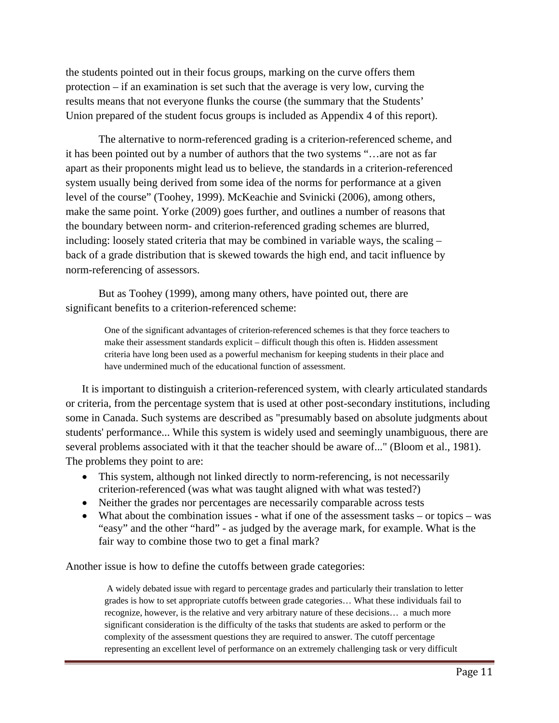the students pointed out in their focus groups, marking on the curve offers them protection – if an examination is set such that the average is very low, curving the results means that not everyone flunks the course (the summary that the Students' Union prepared of the student focus groups is included as Appendix 4 of this report).

The alternative to norm-referenced grading is a criterion-referenced scheme, and it has been pointed out by a number of authors that the two systems "…are not as far apart as their proponents might lead us to believe, the standards in a criterion-referenced system usually being derived from some idea of the norms for performance at a given level of the course" (Toohey, 1999). McKeachie and Svinicki (2006), among others, make the same point. Yorke (2009) goes further, and outlines a number of reasons that the boundary between norm- and criterion-referenced grading schemes are blurred, including: loosely stated criteria that may be combined in variable ways, the scaling – back of a grade distribution that is skewed towards the high end, and tacit influence by norm-referencing of assessors.

But as Toohey (1999), among many others, have pointed out, there are significant benefits to a criterion-referenced scheme:

> One of the significant advantages of criterion-referenced schemes is that they force teachers to make their assessment standards explicit – difficult though this often is. Hidden assessment criteria have long been used as a powerful mechanism for keeping students in their place and have undermined much of the educational function of assessment.

It is important to distinguish a criterion-referenced system, with clearly articulated standards or criteria, from the percentage system that is used at other post-secondary institutions, including some in Canada. Such systems are described as "presumably based on absolute judgments about students' performance... While this system is widely used and seemingly unambiguous, there are several problems associated with it that the teacher should be aware of..." (Bloom et al., 1981). The problems they point to are:

- This system, although not linked directly to norm-referencing, is not necessarily criterion-referenced (was what was taught aligned with what was tested?)
- Neither the grades nor percentages are necessarily comparable across tests
- What about the combination issues what if one of the assessment tasks or topics was "easy" and the other "hard" - as judged by the average mark, for example. What is the fair way to combine those two to get a final mark?

Another issue is how to define the cutoffs between grade categories:

 A widely debated issue with regard to percentage grades and particularly their translation to letter grades is how to set appropriate cutoffs between grade categories… What these individuals fail to recognize, however, is the relative and very arbitrary nature of these decisions… a much more significant consideration is the difficulty of the tasks that students are asked to perform or the complexity of the assessment questions they are required to answer. The cutoff percentage representing an excellent level of performance on an extremely challenging task or very difficult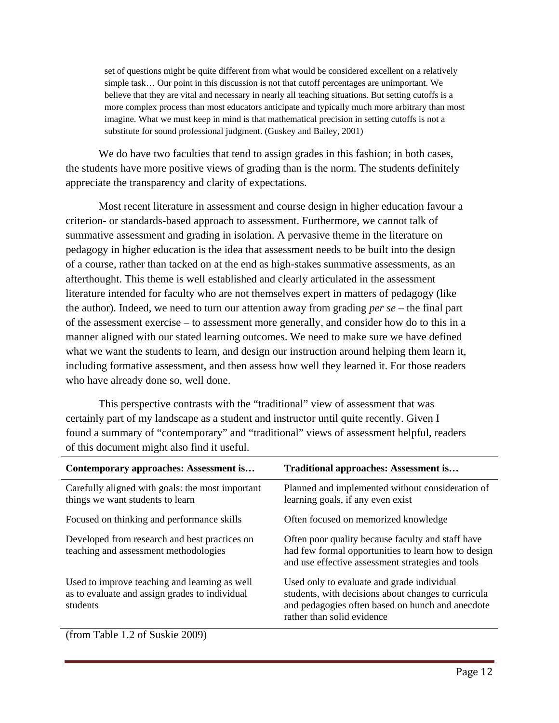set of questions might be quite different from what would be considered excellent on a relatively simple task… Our point in this discussion is not that cutoff percentages are unimportant. We believe that they are vital and necessary in nearly all teaching situations. But setting cutoffs is a more complex process than most educators anticipate and typically much more arbitrary than most imagine. What we must keep in mind is that mathematical precision in setting cutoffs is not a substitute for sound professional judgment. (Guskey and Bailey, 2001)

We do have two faculties that tend to assign grades in this fashion; in both cases, the students have more positive views of grading than is the norm. The students definitely appreciate the transparency and clarity of expectations.

Most recent literature in assessment and course design in higher education favour a criterion- or standards-based approach to assessment. Furthermore, we cannot talk of summative assessment and grading in isolation. A pervasive theme in the literature on pedagogy in higher education is the idea that assessment needs to be built into the design of a course, rather than tacked on at the end as high-stakes summative assessments, as an afterthought. This theme is well established and clearly articulated in the assessment literature intended for faculty who are not themselves expert in matters of pedagogy (like the author). Indeed, we need to turn our attention away from grading *per se* – the final part of the assessment exercise – to assessment more generally, and consider how do to this in a manner aligned with our stated learning outcomes. We need to make sure we have defined what we want the students to learn, and design our instruction around helping them learn it, including formative assessment, and then assess how well they learned it. For those readers who have already done so, well done.

This perspective contrasts with the "traditional" view of assessment that was certainly part of my landscape as a student and instructor until quite recently. Given I found a summary of "contemporary" and "traditional" views of assessment helpful, readers of this document might also find it useful.

| Contemporary approaches: Assessment is                                                                      | Traditional approaches: Assessment is                                                                                                                                               |
|-------------------------------------------------------------------------------------------------------------|-------------------------------------------------------------------------------------------------------------------------------------------------------------------------------------|
| Carefully aligned with goals: the most important<br>things we want students to learn                        | Planned and implemented without consideration of<br>learning goals, if any even exist                                                                                               |
| Focused on thinking and performance skills                                                                  | Often focused on memorized knowledge                                                                                                                                                |
| Developed from research and best practices on<br>teaching and assessment methodologies                      | Often poor quality because faculty and staff have<br>had few formal opportunities to learn how to design<br>and use effective assessment strategies and tools                       |
| Used to improve teaching and learning as well<br>as to evaluate and assign grades to individual<br>students | Used only to evaluate and grade individual<br>students, with decisions about changes to curricula<br>and pedagogies often based on hunch and anecdote<br>rather than solid evidence |
| $\sqrt{6}$<br>$T = 11 + 42 + 61 + 11 + 2000$                                                                |                                                                                                                                                                                     |

(from Table 1.2 of Suskie 2009)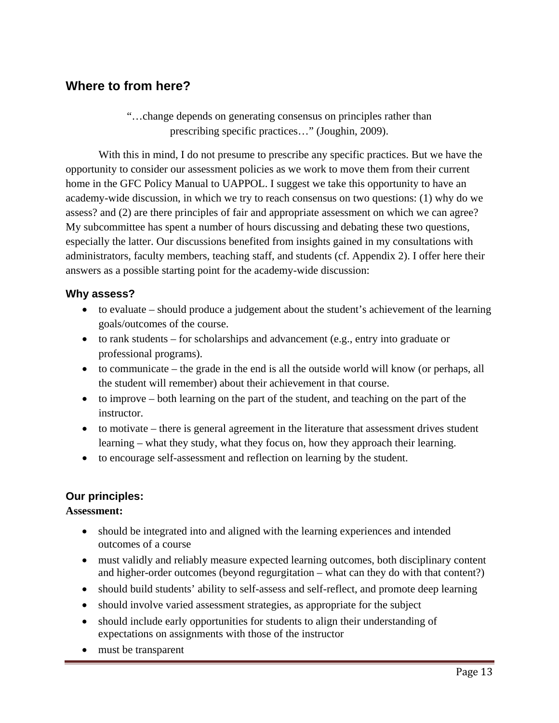# **Where to from here?**

"…change depends on generating consensus on principles rather than prescribing specific practices…" (Joughin, 2009).

With this in mind, I do not presume to prescribe any specific practices. But we have the opportunity to consider our assessment policies as we work to move them from their current home in the GFC Policy Manual to UAPPOL. I suggest we take this opportunity to have an academy-wide discussion, in which we try to reach consensus on two questions: (1) why do we assess? and (2) are there principles of fair and appropriate assessment on which we can agree? My subcommittee has spent a number of hours discussing and debating these two questions, especially the latter. Our discussions benefited from insights gained in my consultations with administrators, faculty members, teaching staff, and students (cf. Appendix 2). I offer here their answers as a possible starting point for the academy-wide discussion:

### **Why assess?**

- to evaluate should produce a judgement about the student's achievement of the learning goals/outcomes of the course.
- $\bullet$  to rank students for scholarships and advancement (e.g., entry into graduate or professional programs).
- to communicate the grade in the end is all the outside world will know (or perhaps, all the student will remember) about their achievement in that course.
- $\bullet$  to improve both learning on the part of the student, and teaching on the part of the instructor.
- to motivate there is general agreement in the literature that assessment drives student learning – what they study, what they focus on, how they approach their learning.
- to encourage self-assessment and reflection on learning by the student.

## **Our principles:**

#### **Assessment:**

- should be integrated into and aligned with the learning experiences and intended outcomes of a course
- must validly and reliably measure expected learning outcomes, both disciplinary content and higher-order outcomes (beyond regurgitation – what can they do with that content?)
- should build students' ability to self-assess and self-reflect, and promote deep learning
- should involve varied assessment strategies, as appropriate for the subject
- should include early opportunities for students to align their understanding of expectations on assignments with those of the instructor
- must be transparent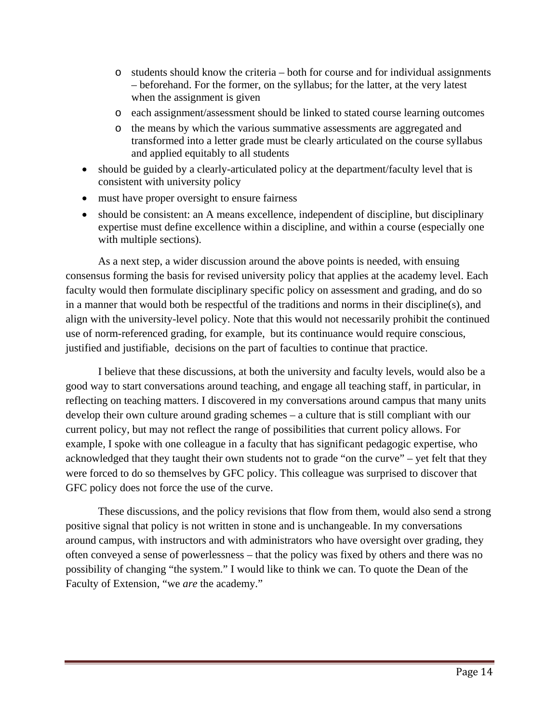- $\circ$  students should know the criteria both for course and for individual assignments – beforehand. For the former, on the syllabus; for the latter, at the very latest when the assignment is given
- o each assignment/assessment should be linked to stated course learning outcomes
- o the means by which the various summative assessments are aggregated and transformed into a letter grade must be clearly articulated on the course syllabus and applied equitably to all students
- should be guided by a clearly-articulated policy at the department/faculty level that is consistent with university policy
- must have proper oversight to ensure fairness
- should be consistent: an A means excellence, independent of discipline, but disciplinary expertise must define excellence within a discipline, and within a course (especially one with multiple sections).

As a next step, a wider discussion around the above points is needed, with ensuing consensus forming the basis for revised university policy that applies at the academy level. Each faculty would then formulate disciplinary specific policy on assessment and grading, and do so in a manner that would both be respectful of the traditions and norms in their discipline(s), and align with the university-level policy. Note that this would not necessarily prohibit the continued use of norm-referenced grading, for example, but its continuance would require conscious, justified and justifiable, decisions on the part of faculties to continue that practice.

I believe that these discussions, at both the university and faculty levels, would also be a good way to start conversations around teaching, and engage all teaching staff, in particular, in reflecting on teaching matters. I discovered in my conversations around campus that many units develop their own culture around grading schemes – a culture that is still compliant with our current policy, but may not reflect the range of possibilities that current policy allows. For example, I spoke with one colleague in a faculty that has significant pedagogic expertise, who acknowledged that they taught their own students not to grade "on the curve" – yet felt that they were forced to do so themselves by GFC policy. This colleague was surprised to discover that GFC policy does not force the use of the curve.

These discussions, and the policy revisions that flow from them, would also send a strong positive signal that policy is not written in stone and is unchangeable. In my conversations around campus, with instructors and with administrators who have oversight over grading, they often conveyed a sense of powerlessness – that the policy was fixed by others and there was no possibility of changing "the system." I would like to think we can. To quote the Dean of the Faculty of Extension, "we *are* the academy."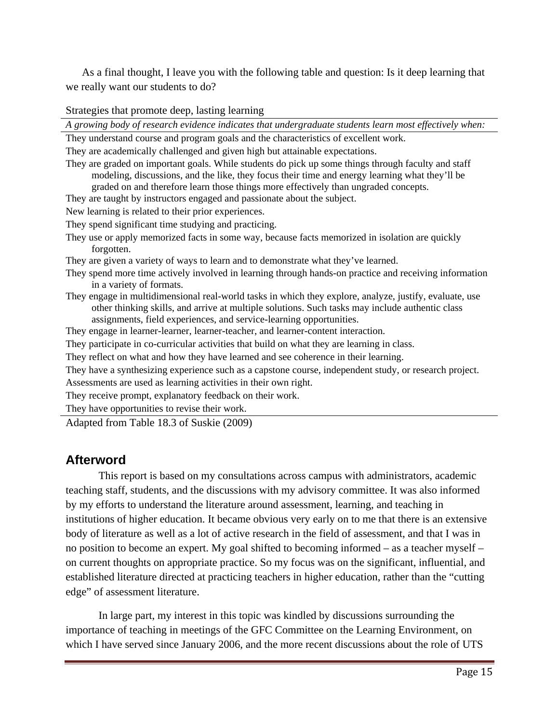As a final thought, I leave you with the following table and question: Is it deep learning that we really want our students to do?

Strategies that promote deep, lasting learning

*A growing body of research evidence indicates that undergraduate students learn most effectively when:*  They understand course and program goals and the characteristics of excellent work. They are academically challenged and given high but attainable expectations. They are graded on important goals. While students do pick up some things through faculty and staff modeling, discussions, and the like, they focus their time and energy learning what they'll be graded on and therefore learn those things more effectively than ungraded concepts. They are taught by instructors engaged and passionate about the subject. New learning is related to their prior experiences. They spend significant time studying and practicing. They use or apply memorized facts in some way, because facts memorized in isolation are quickly forgotten. They are given a variety of ways to learn and to demonstrate what they've learned. They spend more time actively involved in learning through hands-on practice and receiving information in a variety of formats. They engage in multidimensional real-world tasks in which they explore, analyze, justify, evaluate, use other thinking skills, and arrive at multiple solutions. Such tasks may include authentic class assignments, field experiences, and service-learning opportunities. They engage in learner-learner, learner-teacher, and learner-content interaction. They participate in co-curricular activities that build on what they are learning in class. They reflect on what and how they have learned and see coherence in their learning. They have a synthesizing experience such as a capstone course, independent study, or research project. Assessments are used as learning activities in their own right. They receive prompt, explanatory feedback on their work. They have opportunities to revise their work. Adapted from Table 18.3 of Suskie (2009)

# **Afterword**

 This report is based on my consultations across campus with administrators, academic teaching staff, students, and the discussions with my advisory committee. It was also informed by my efforts to understand the literature around assessment, learning, and teaching in institutions of higher education. It became obvious very early on to me that there is an extensive body of literature as well as a lot of active research in the field of assessment, and that I was in no position to become an expert. My goal shifted to becoming informed – as a teacher myself – on current thoughts on appropriate practice. So my focus was on the significant, influential, and established literature directed at practicing teachers in higher education, rather than the "cutting edge" of assessment literature.

In large part, my interest in this topic was kindled by discussions surrounding the importance of teaching in meetings of the GFC Committee on the Learning Environment, on which I have served since January 2006, and the more recent discussions about the role of UTS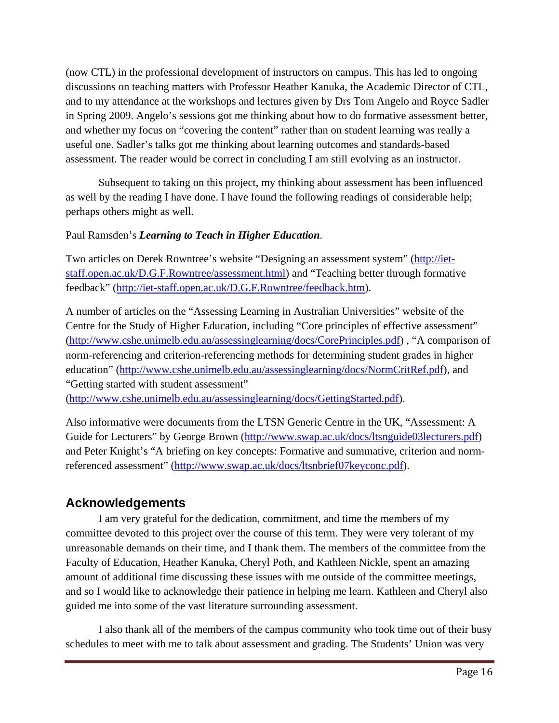(now CTL) in the professional development of instructors on campus. This has led to ongoing discussions on teaching matters with Professor Heather Kanuka, the Academic Director of CTL, and to my attendance at the workshops and lectures given by Drs Tom Angelo and Royce Sadler in Spring 2009. Angelo's sessions got me thinking about how to do formative assessment better, and whether my focus on "covering the content" rather than on student learning was really a useful one. Sadler's talks got me thinking about learning outcomes and standards-based assessment. The reader would be correct in concluding I am still evolving as an instructor.

 Subsequent to taking on this project, my thinking about assessment has been influenced as well by the reading I have done. I have found the following readings of considerable help; perhaps others might as well.

### Paul Ramsden's *Learning to Teach in Higher Education*.

Two articles on Derek Rowntree's website "Designing an assessment system" (http://ietstaff.open.ac.uk/D.G.F.Rowntree/assessment.html) and "Teaching better through formative feedback" (http://iet-staff.open.ac.uk/D.G.F.Rowntree/feedback.htm).

A number of articles on the "Assessing Learning in Australian Universities" website of the Centre for the Study of Higher Education, including "Core principles of effective assessment" (http://www.cshe.unimelb.edu.au/assessinglearning/docs/CorePrinciples.pdf) , "A comparison of norm-referencing and criterion-referencing methods for determining student grades in higher education" (http://www.cshe.unimelb.edu.au/assessinglearning/docs/NormCritRef.pdf), and "Getting started with student assessment"

(http://www.cshe.unimelb.edu.au/assessinglearning/docs/GettingStarted.pdf).

Also informative were documents from the LTSN Generic Centre in the UK, "Assessment: A Guide for Lecturers" by George Brown (http://www.swap.ac.uk/docs/ltsnguide03lecturers.pdf) and Peter Knight's "A briefing on key concepts: Formative and summative, criterion and normreferenced assessment" (http://www.swap.ac.uk/docs/ltsnbrief07keyconc.pdf).

# **Acknowledgements**

 I am very grateful for the dedication, commitment, and time the members of my committee devoted to this project over the course of this term. They were very tolerant of my unreasonable demands on their time, and I thank them. The members of the committee from the Faculty of Education, Heather Kanuka, Cheryl Poth, and Kathleen Nickle, spent an amazing amount of additional time discussing these issues with me outside of the committee meetings, and so I would like to acknowledge their patience in helping me learn. Kathleen and Cheryl also guided me into some of the vast literature surrounding assessment.

I also thank all of the members of the campus community who took time out of their busy schedules to meet with me to talk about assessment and grading. The Students' Union was very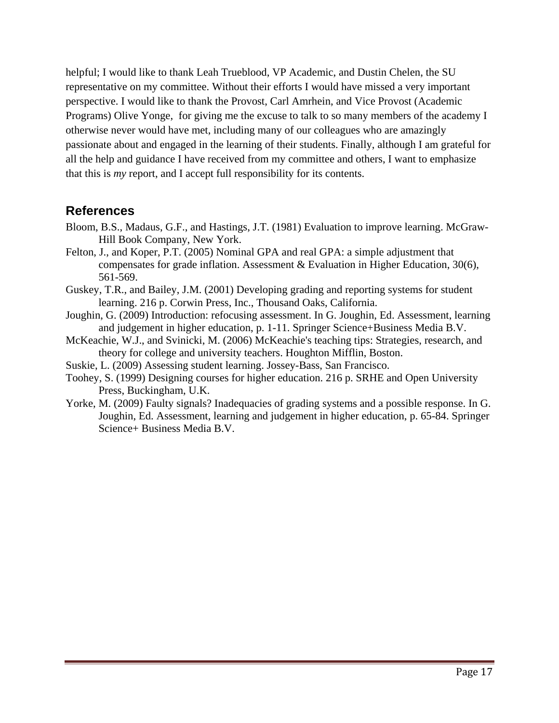helpful; I would like to thank Leah Trueblood, VP Academic, and Dustin Chelen, the SU representative on my committee. Without their efforts I would have missed a very important perspective. I would like to thank the Provost, Carl Amrhein, and Vice Provost (Academic Programs) Olive Yonge, for giving me the excuse to talk to so many members of the academy I otherwise never would have met, including many of our colleagues who are amazingly passionate about and engaged in the learning of their students. Finally, although I am grateful for all the help and guidance I have received from my committee and others, I want to emphasize that this is *my* report, and I accept full responsibility for its contents.

# **References**

- Bloom, B.S., Madaus, G.F., and Hastings, J.T. (1981) Evaluation to improve learning. McGraw-Hill Book Company, New York.
- Felton, J., and Koper, P.T. (2005) Nominal GPA and real GPA: a simple adjustment that compensates for grade inflation. Assessment & Evaluation in Higher Education, 30(6), 561-569.
- Guskey, T.R., and Bailey, J.M. (2001) Developing grading and reporting systems for student learning. 216 p. Corwin Press, Inc., Thousand Oaks, California.
- Joughin, G. (2009) Introduction: refocusing assessment. In G. Joughin, Ed. Assessment, learning and judgement in higher education, p. 1-11. Springer Science+Business Media B.V.
- McKeachie, W.J., and Svinicki, M. (2006) McKeachie's teaching tips: Strategies, research, and theory for college and university teachers. Houghton Mifflin, Boston.
- Suskie, L. (2009) Assessing student learning. Jossey-Bass, San Francisco.
- Toohey, S. (1999) Designing courses for higher education. 216 p. SRHE and Open University Press, Buckingham, U.K.
- Yorke, M. (2009) Faulty signals? Inadequacies of grading systems and a possible response. In G. Joughin, Ed. Assessment, learning and judgement in higher education, p. 65-84. Springer Science+ Business Media B.V.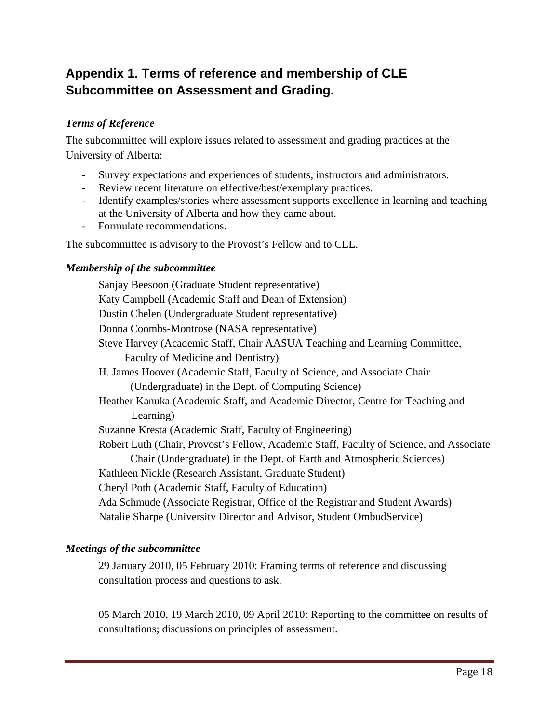# **Appendix 1. Terms of reference and membership of CLE Subcommittee on Assessment and Grading.**

### *Terms of Reference*

The subcommittee will explore issues related to assessment and grading practices at the University of Alberta:

- ‐ Survey expectations and experiences of students, instructors and administrators.
- Review recent literature on effective/best/exemplary practices.
- ‐ Identify examples/stories where assessment supports excellence in learning and teaching at the University of Alberta and how they came about.
- ‐ Formulate recommendations.

The subcommittee is advisory to the Provost's Fellow and to CLE.

### *Membership of the subcommittee*

Sanjay Beesoon (Graduate Student representative) Katy Campbell (Academic Staff and Dean of Extension) Dustin Chelen (Undergraduate Student representative) Donna Coombs-Montrose (NASA representative) Steve Harvey (Academic Staff, Chair AASUA Teaching and Learning Committee, Faculty of Medicine and Dentistry) H. James Hoover (Academic Staff, Faculty of Science, and Associate Chair (Undergraduate) in the Dept. of Computing Science) Heather Kanuka (Academic Staff, and Academic Director, Centre for Teaching and Learning) Suzanne Kresta (Academic Staff, Faculty of Engineering) Robert Luth (Chair, Provost's Fellow, Academic Staff, Faculty of Science, and Associate Chair (Undergraduate) in the Dept. of Earth and Atmospheric Sciences) Kathleen Nickle (Research Assistant, Graduate Student) Cheryl Poth (Academic Staff, Faculty of Education) Ada Schmude (Associate Registrar, Office of the Registrar and Student Awards) Natalie Sharpe (University Director and Advisor, Student OmbudService)

### *Meetings of the subcommittee*

29 January 2010, 05 February 2010: Framing terms of reference and discussing consultation process and questions to ask.

05 March 2010, 19 March 2010, 09 April 2010: Reporting to the committee on results of consultations; discussions on principles of assessment.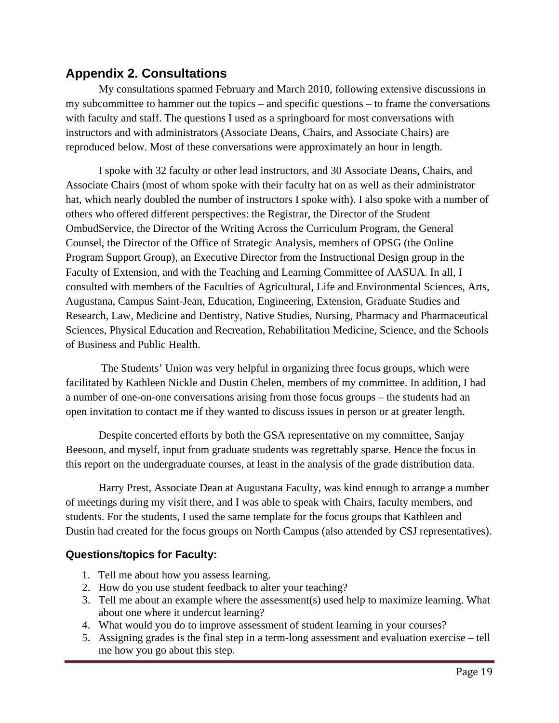# **Appendix 2. Consultations**

My consultations spanned February and March 2010, following extensive discussions in my subcommittee to hammer out the topics – and specific questions – to frame the conversations with faculty and staff. The questions I used as a springboard for most conversations with instructors and with administrators (Associate Deans, Chairs, and Associate Chairs) are reproduced below. Most of these conversations were approximately an hour in length.

I spoke with 32 faculty or other lead instructors, and 30 Associate Deans, Chairs, and Associate Chairs (most of whom spoke with their faculty hat on as well as their administrator hat, which nearly doubled the number of instructors I spoke with). I also spoke with a number of others who offered different perspectives: the Registrar, the Director of the Student OmbudService, the Director of the Writing Across the Curriculum Program, the General Counsel, the Director of the Office of Strategic Analysis, members of OPSG (the Online Program Support Group), an Executive Director from the Instructional Design group in the Faculty of Extension, and with the Teaching and Learning Committee of AASUA. In all, I consulted with members of the Faculties of Agricultural, Life and Environmental Sciences, Arts, Augustana, Campus Saint-Jean, Education, Engineering, Extension, Graduate Studies and Research, Law, Medicine and Dentistry, Native Studies, Nursing, Pharmacy and Pharmaceutical Sciences, Physical Education and Recreation, Rehabilitation Medicine, Science, and the Schools of Business and Public Health.

 The Students' Union was very helpful in organizing three focus groups, which were facilitated by Kathleen Nickle and Dustin Chelen, members of my committee. In addition, I had a number of one-on-one conversations arising from those focus groups – the students had an open invitation to contact me if they wanted to discuss issues in person or at greater length.

Despite concerted efforts by both the GSA representative on my committee, Sanjay Beesoon, and myself, input from graduate students was regrettably sparse. Hence the focus in this report on the undergraduate courses, at least in the analysis of the grade distribution data.

Harry Prest, Associate Dean at Augustana Faculty, was kind enough to arrange a number of meetings during my visit there, and I was able to speak with Chairs, faculty members, and students. For the students, I used the same template for the focus groups that Kathleen and Dustin had created for the focus groups on North Campus (also attended by CSJ representatives).

### **Questions/topics for Faculty:**

- 1. Tell me about how you assess learning.
- 2. How do you use student feedback to alter your teaching?
- 3. Tell me about an example where the assessment(s) used help to maximize learning. What about one where it undercut learning?
- 4. What would you do to improve assessment of student learning in your courses?
- 5. Assigning grades is the final step in a term-long assessment and evaluation exercise tell me how you go about this step.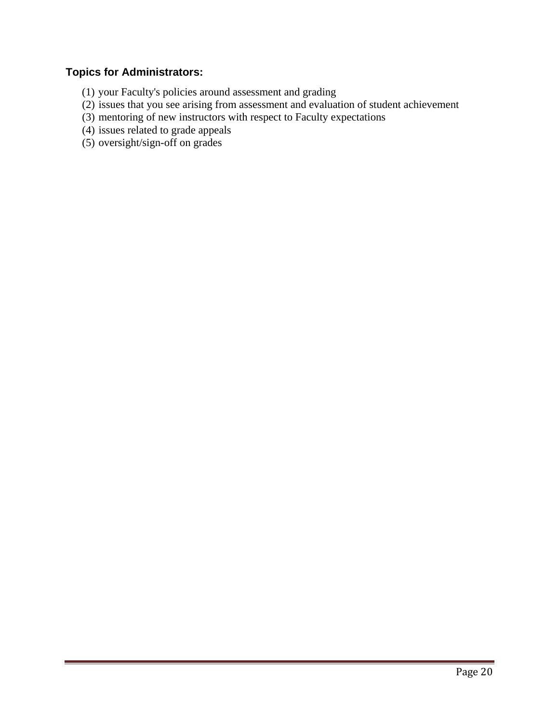# **Topics for Administrators:**

- (1) your Faculty's policies around assessment and grading
- (2) issues that you see arising from assessment and evaluation of student achievement
- (3) mentoring of new instructors with respect to Faculty expectations
- (4) issues related to grade appeals
- (5) oversight/sign-off on grades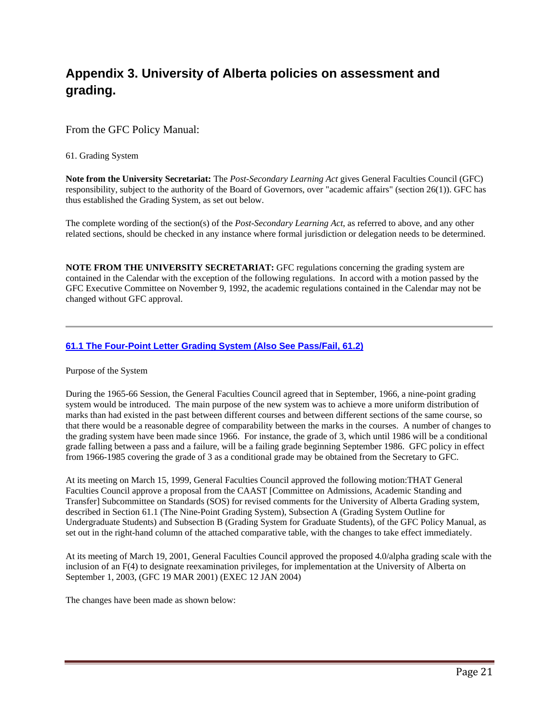# **Appendix 3. University of Alberta policies on assessment and grading.**

#### From the GFC Policy Manual:

61. Grading System

**Note from the University Secretariat:** The *Post-Secondary Learning Act* gives General Faculties Council (GFC) responsibility, subject to the authority of the Board of Governors, over "academic affairs" (section 26(1)). GFC has thus established the Grading System, as set out below.

The complete wording of the section(s) of the *Post-Secondary Learning Act*, as referred to above, and any other related sections, should be checked in any instance where formal jurisdiction or delegation needs to be determined.

**NOTE FROM THE UNIVERSITY SECRETARIAT:** GFC regulations concerning the grading system are contained in the Calendar with the exception of the following regulations. In accord with a motion passed by the GFC Executive Committee on November 9, 1992, the academic regulations contained in the Calendar may not be changed without GFC approval.

#### **61.1 The Four-Point Letter Grading System (Also See Pass/Fail, 61.2)**

Purpose of the System

During the 1965-66 Session, the General Faculties Council agreed that in September, 1966, a nine-point grading system would be introduced. The main purpose of the new system was to achieve a more uniform distribution of marks than had existed in the past between different courses and between different sections of the same course, so that there would be a reasonable degree of comparability between the marks in the courses. A number of changes to the grading system have been made since 1966. For instance, the grade of 3, which until 1986 will be a conditional grade falling between a pass and a failure, will be a failing grade beginning September 1986. GFC policy in effect from 1966-1985 covering the grade of 3 as a conditional grade may be obtained from the Secretary to GFC.

At its meeting on March 15, 1999, General Faculties Council approved the following motion:THAT General Faculties Council approve a proposal from the CAAST [Committee on Admissions, Academic Standing and Transfer] Subcommittee on Standards (SOS) for revised comments for the University of Alberta Grading system, described in Section 61.1 (The Nine-Point Grading System), Subsection A (Grading System Outline for Undergraduate Students) and Subsection B (Grading System for Graduate Students), of the GFC Policy Manual, as set out in the right-hand column of the attached comparative table, with the changes to take effect immediately.

At its meeting of March 19, 2001, General Faculties Council approved the proposed 4.0/alpha grading scale with the inclusion of an F(4) to designate reexamination privileges, for implementation at the University of Alberta on September 1, 2003, (GFC 19 MAR 2001) (EXEC 12 JAN 2004)

The changes have been made as shown below: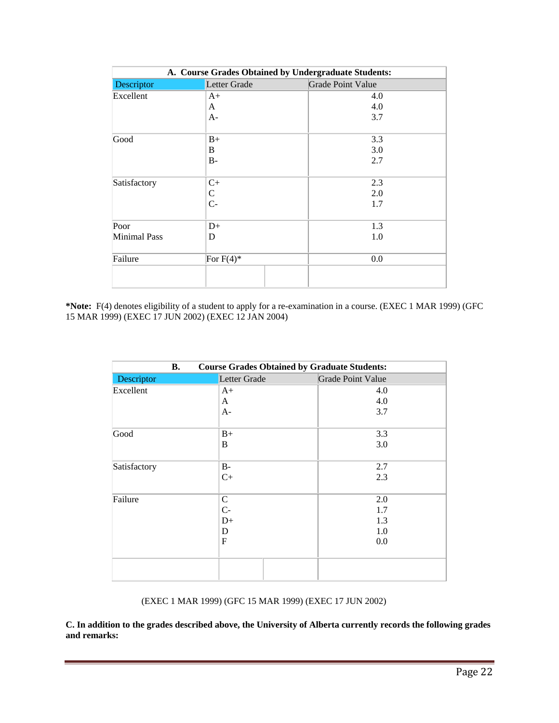| A. Course Grades Obtained by Undergraduate Students: |                |                          |  |
|------------------------------------------------------|----------------|--------------------------|--|
| Descriptor                                           | Letter Grade   | <b>Grade Point Value</b> |  |
| Excellent                                            | $A+$           | 4.0                      |  |
|                                                      | A              | 4.0                      |  |
|                                                      | $A-$           | 3.7                      |  |
| Good                                                 | $B+$           | 3.3                      |  |
|                                                      | B              | 3.0                      |  |
|                                                      | $B -$          | 2.7                      |  |
| Satisfactory                                         | $C+$           | 2.3                      |  |
|                                                      | $\mathsf C$    | 2.0                      |  |
|                                                      | $\overline{C}$ | 1.7                      |  |
| Poor                                                 | $D+$           | 1.3                      |  |
| <b>Minimal Pass</b>                                  | D              | 1.0                      |  |
| Failure                                              | For $F(4)$ *   | 0.0                      |  |
|                                                      |                |                          |  |

**\*Note:** F(4) denotes eligibility of a student to apply for a re-examination in a course. (EXEC 1 MAR 1999) (GFC 15 MAR 1999) (EXEC 17 JUN 2002) (EXEC 12 JAN 2004)

| <b>Course Grades Obtained by Graduate Students:</b><br><b>B.</b> |              |                          |
|------------------------------------------------------------------|--------------|--------------------------|
| Descriptor                                                       | Letter Grade | <b>Grade Point Value</b> |
| Excellent                                                        | $A+$         | 4.0                      |
|                                                                  | A            | 4.0                      |
|                                                                  | $A-$         | 3.7                      |
| Good                                                             | $B+$         | 3.3                      |
|                                                                  | B            | 3.0                      |
| Satisfactory                                                     | $B-$         | 2.7                      |
|                                                                  | $C+$         | 2.3                      |
| Failure                                                          | $\mathsf{C}$ | 2.0                      |
|                                                                  | $C-$         | 1.7                      |
|                                                                  | $D+$         | 1.3                      |
|                                                                  | D            | 1.0                      |
|                                                                  | F            | 0.0                      |
|                                                                  |              |                          |

(EXEC 1 MAR 1999) (GFC 15 MAR 1999) (EXEC 17 JUN 2002)

**C. In addition to the grades described above, the University of Alberta currently records the following grades and remarks:**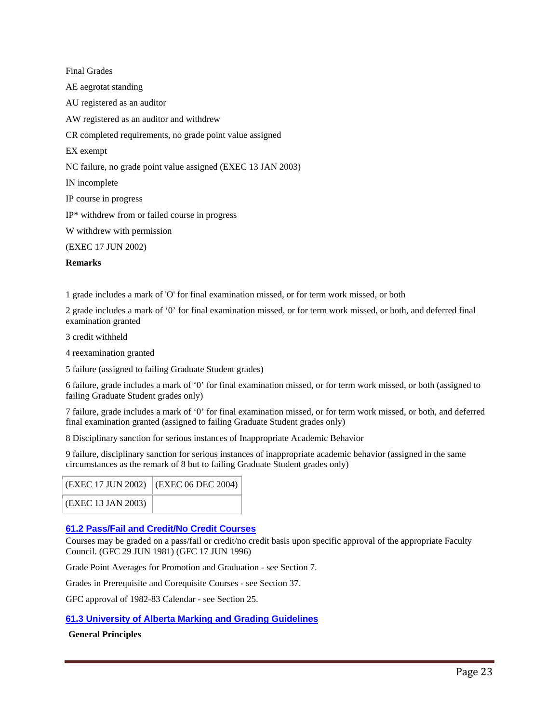Final Grades AE aegrotat standing AU registered as an auditor AW registered as an auditor and withdrew CR completed requirements, no grade point value assigned EX exempt NC failure, no grade point value assigned (EXEC 13 JAN 2003) IN incomplete IP course in progress IP\* withdrew from or failed course in progress W withdrew with permission (EXEC 17 JUN 2002)

#### **Remarks**

1 grade includes a mark of 'O' for final examination missed, or for term work missed, or both

2 grade includes a mark of '0' for final examination missed, or for term work missed, or both, and deferred final examination granted

3 credit withheld

4 reexamination granted

5 failure (assigned to failing Graduate Student grades)

6 failure, grade includes a mark of '0' for final examination missed, or for term work missed, or both (assigned to failing Graduate Student grades only)

7 failure, grade includes a mark of '0' for final examination missed, or for term work missed, or both, and deferred final examination granted (assigned to failing Graduate Student grades only)

8 Disciplinary sanction for serious instances of Inappropriate Academic Behavior

9 failure, disciplinary sanction for serious instances of inappropriate academic behavior (assigned in the same circumstances as the remark of 8 but to failing Graduate Student grades only)

| (EXEC 17 JUN 2002) (EXEC 06 DEC 2004) |  |
|---------------------------------------|--|
| (EXEC 13 JAN 2003)                    |  |

#### **61.2 Pass/Fail and Credit/No Credit Courses**

Courses may be graded on a pass/fail or credit/no credit basis upon specific approval of the appropriate Faculty Council. (GFC 29 JUN 1981) (GFC 17 JUN 1996)

Grade Point Averages for Promotion and Graduation - see Section 7.

Grades in Prerequisite and Corequisite Courses - see Section 37.

GFC approval of 1982-83 Calendar - see Section 25.

#### **61.3 University of Alberta Marking and Grading Guidelines**

#### **General Principles**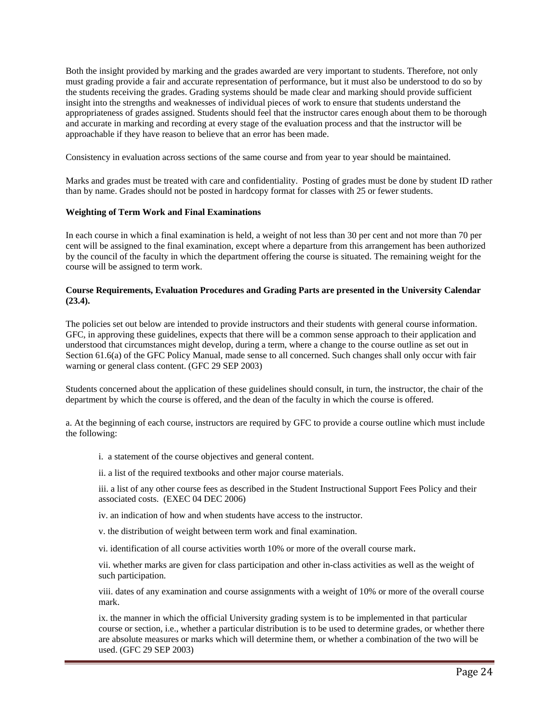Both the insight provided by marking and the grades awarded are very important to students. Therefore, not only must grading provide a fair and accurate representation of performance, but it must also be understood to do so by the students receiving the grades. Grading systems should be made clear and marking should provide sufficient insight into the strengths and weaknesses of individual pieces of work to ensure that students understand the appropriateness of grades assigned. Students should feel that the instructor cares enough about them to be thorough and accurate in marking and recording at every stage of the evaluation process and that the instructor will be approachable if they have reason to believe that an error has been made.

Consistency in evaluation across sections of the same course and from year to year should be maintained.

Marks and grades must be treated with care and confidentiality. Posting of grades must be done by student ID rather than by name. Grades should not be posted in hardcopy format for classes with 25 or fewer students.

#### **Weighting of Term Work and Final Examinations**

In each course in which a final examination is held, a weight of not less than 30 per cent and not more than 70 per cent will be assigned to the final examination, except where a departure from this arrangement has been authorized by the council of the faculty in which the department offering the course is situated. The remaining weight for the course will be assigned to term work.

#### **Course Requirements, Evaluation Procedures and Grading Parts are presented in the University Calendar (23.4).**

The policies set out below are intended to provide instructors and their students with general course information. GFC, in approving these guidelines, expects that there will be a common sense approach to their application and understood that circumstances might develop, during a term, where a change to the course outline as set out in Section 61.6(a) of the GFC Policy Manual, made sense to all concerned. Such changes shall only occur with fair warning or general class content. (GFC 29 SEP 2003)

Students concerned about the application of these guidelines should consult, in turn, the instructor, the chair of the department by which the course is offered, and the dean of the faculty in which the course is offered.

a. At the beginning of each course, instructors are required by GFC to provide a course outline which must include the following:

- i. a statement of the course objectives and general content.
- ii. a list of the required textbooks and other major course materials.

iii. a list of any other course fees as described in the Student Instructional Support Fees Policy and their associated costs. (EXEC 04 DEC 2006)

iv. an indication of how and when students have access to the instructor.

v. the distribution of weight between term work and final examination.

vi. identification of all course activities worth 10% or more of the overall course mark.

vii. whether marks are given for class participation and other in-class activities as well as the weight of such participation.

viii. dates of any examination and course assignments with a weight of 10% or more of the overall course mark.

ix. the manner in which the official University grading system is to be implemented in that particular course or section, i.e., whether a particular distribution is to be used to determine grades, or whether there are absolute measures or marks which will determine them, or whether a combination of the two will be used. (GFC 29 SEP 2003)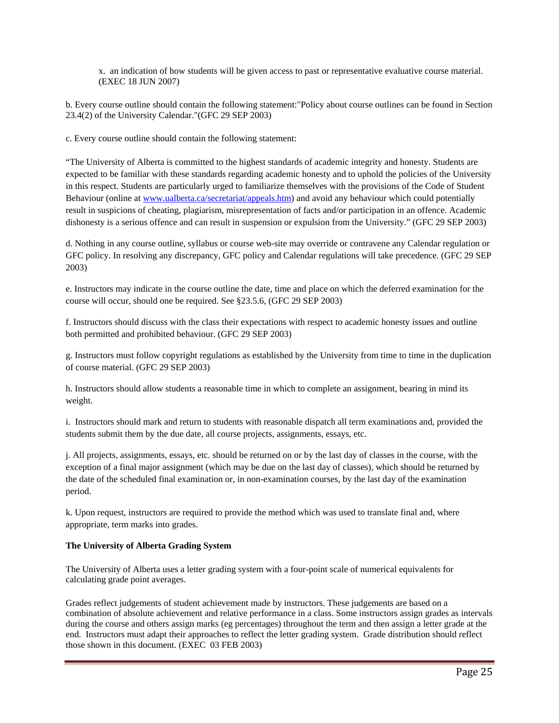x. an indication of how students will be given access to past or representative evaluative course material. (EXEC 18 JUN 2007)

b. Every course outline should contain the following statement:"Policy about course outlines can be found in Section 23.4(2) of the University Calendar."(GFC 29 SEP 2003)

c. Every course outline should contain the following statement:

"The University of Alberta is committed to the highest standards of academic integrity and honesty. Students are expected to be familiar with these standards regarding academic honesty and to uphold the policies of the University in this respect. Students are particularly urged to familiarize themselves with the provisions of the Code of Student Behaviour (online at www.ualberta.ca/secretariat/appeals.htm) and avoid any behaviour which could potentially result in suspicions of cheating, plagiarism, misrepresentation of facts and/or participation in an offence. Academic dishonesty is a serious offence and can result in suspension or expulsion from the University." (GFC 29 SEP 2003)

d. Nothing in any course outline, syllabus or course web-site may override or contravene any Calendar regulation or GFC policy. In resolving any discrepancy, GFC policy and Calendar regulations will take precedence. (GFC 29 SEP 2003)

e. Instructors may indicate in the course outline the date, time and place on which the deferred examination for the course will occur, should one be required. See §23.5.6, (GFC 29 SEP 2003)

f. Instructors should discuss with the class their expectations with respect to academic honesty issues and outline both permitted and prohibited behaviour. (GFC 29 SEP 2003)

g. Instructors must follow copyright regulations as established by the University from time to time in the duplication of course material. (GFC 29 SEP 2003)

h. Instructors should allow students a reasonable time in which to complete an assignment, bearing in mind its weight.

i. Instructors should mark and return to students with reasonable dispatch all term examinations and, provided the students submit them by the due date, all course projects, assignments, essays, etc.

j. All projects, assignments, essays, etc. should be returned on or by the last day of classes in the course, with the exception of a final major assignment (which may be due on the last day of classes), which should be returned by the date of the scheduled final examination or, in non-examination courses, by the last day of the examination period.

k. Upon request, instructors are required to provide the method which was used to translate final and, where appropriate, term marks into grades.

#### **The University of Alberta Grading System**

The University of Alberta uses a letter grading system with a four-point scale of numerical equivalents for calculating grade point averages.

Grades reflect judgements of student achievement made by instructors. These judgements are based on a combination of absolute achievement and relative performance in a class. Some instructors assign grades as intervals during the course and others assign marks (eg percentages) throughout the term and then assign a letter grade at the end. Instructors must adapt their approaches to reflect the letter grading system. Grade distribution should reflect those shown in this document. (EXEC 03 FEB 2003)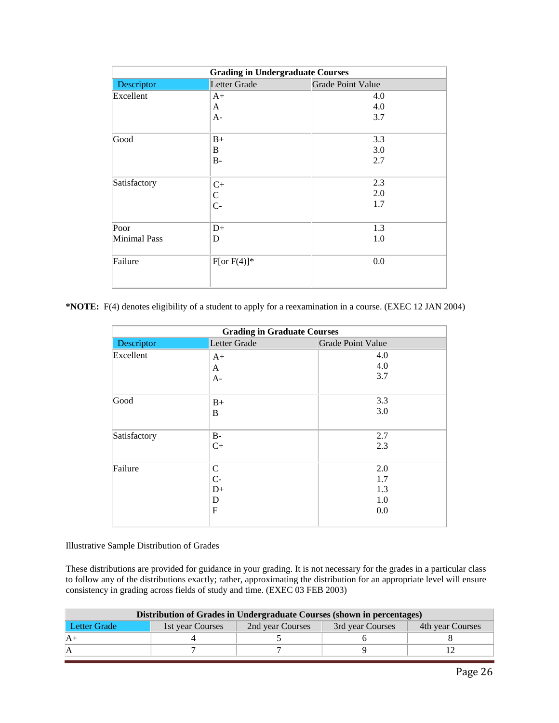| <b>Grading in Undergraduate Courses</b> |                |                          |  |
|-----------------------------------------|----------------|--------------------------|--|
| Descriptor                              | Letter Grade   | <b>Grade Point Value</b> |  |
| Excellent                               | $A+$           | 4.0                      |  |
|                                         | A              | 4.0                      |  |
|                                         | $A-$           | 3.7                      |  |
| Good                                    | $B+$           | 3.3                      |  |
|                                         | B              | 3.0                      |  |
|                                         | $B -$          | 2.7                      |  |
| Satisfactory                            | $C+$           | 2.3                      |  |
|                                         | $\mathsf{C}$   | 2.0                      |  |
|                                         | $C -$          | 1.7                      |  |
| Poor                                    | $D+$           | 1.3                      |  |
| Minimal Pass                            | D              | 1.0                      |  |
| Failure                                 | $F[or F(4)]^*$ | 0.0                      |  |

**\*NOTE:** F(4) denotes eligibility of a student to apply for a reexamination in a course. (EXEC 12 JAN 2004)

| <b>Grading in Graduate Courses</b> |                                       |                                 |  |
|------------------------------------|---------------------------------------|---------------------------------|--|
| Descriptor                         | Letter Grade                          | <b>Grade Point Value</b>        |  |
| Excellent                          | $A+$                                  | 4.0<br>4.0                      |  |
|                                    | A<br>$A-$                             | 3.7                             |  |
| Good                               | $B+$<br>B                             | 3.3<br>3.0                      |  |
| Satisfactory                       | $B-$<br>$C+$                          | 2.7<br>2.3                      |  |
| Failure                            | $\mathsf C$<br>$C-$<br>$D+$<br>D<br>F | 2.0<br>1.7<br>1.3<br>1.0<br>0.0 |  |

Illustrative Sample Distribution of Grades

These distributions are provided for guidance in your grading. It is not necessary for the grades in a particular class to follow any of the distributions exactly; rather, approximating the distribution for an appropriate level will ensure consistency in grading across fields of study and time. (EXEC 03 FEB 2003)

| Distribution of Grades in Undergraduate Courses (shown in percentages) |                                                                              |  |  |  |  |
|------------------------------------------------------------------------|------------------------------------------------------------------------------|--|--|--|--|
| Letter Grade                                                           | 2nd year Courses<br>1st year Courses<br>3rd year Courses<br>4th year Courses |  |  |  |  |
|                                                                        |                                                                              |  |  |  |  |
|                                                                        |                                                                              |  |  |  |  |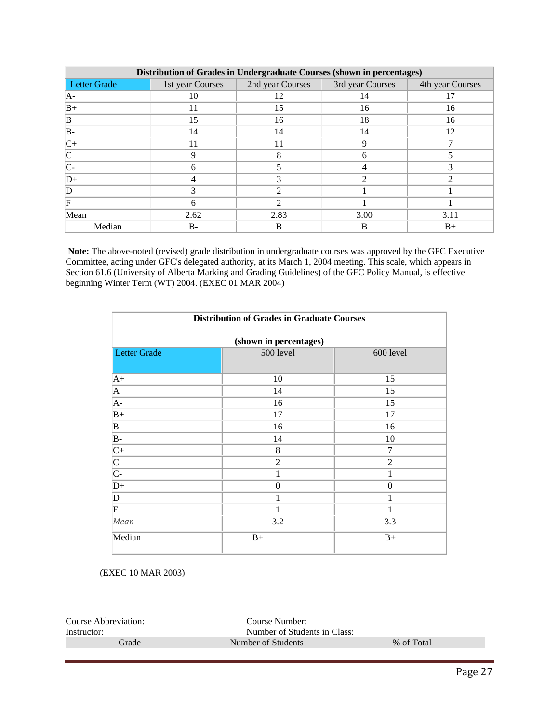| Distribution of Grades in Undergraduate Courses (shown in percentages) |                  |                  |                  |                  |
|------------------------------------------------------------------------|------------------|------------------|------------------|------------------|
| <b>Letter Grade</b>                                                    | 1st year Courses | 2nd year Courses | 3rd year Courses | 4th year Courses |
| AA-                                                                    | 10               | 12               | 14               |                  |
| $B+$                                                                   | 11               | 15               | 16               | 16               |
| B                                                                      | 15               | 16               | 18               | 16               |
| $B -$                                                                  | 14               | 14               | 14               | 12               |
| $C+$                                                                   | 11               | 11               | 9                |                  |
| $\mathsf{C}$                                                           | 9                | 8                | 6                |                  |
| $C-$                                                                   | 6                |                  |                  |                  |
| $D+$                                                                   | 4                |                  | $\mathfrak{D}$   | ↑                |
| D                                                                      | 3                | ∍                |                  |                  |
| F                                                                      | 6                | ∍                |                  |                  |
| Mean                                                                   | 2.62             | 2.83             | 3.00             | 3.11             |
| Median                                                                 | B-               | B                | B                | $B+$             |

**Note:** The above-noted (revised) grade distribution in undergraduate courses was approved by the GFC Executive Committee, acting under GFC's delegated authority, at its March 1, 2004 meeting. This scale, which appears in Section 61.6 (University of Alberta Marking and Grading Guidelines) of the GFC Policy Manual, is effective beginning Winter Term (WT) 2004. (EXEC 01 MAR 2004)

| <b>Distribution of Grades in Graduate Courses</b> |                        |                |  |  |
|---------------------------------------------------|------------------------|----------------|--|--|
|                                                   | (shown in percentages) |                |  |  |
| Letter Grade                                      | 500 level              | 600 level      |  |  |
| $A+$                                              | 10                     | 15             |  |  |
| $\mathbf{A}$                                      | 14                     | 15             |  |  |
| A-                                                | 16                     | 15             |  |  |
| $B+$                                              | 17                     | 17             |  |  |
| $\mathbf B$                                       | 16                     | 16             |  |  |
| $B -$                                             | 14                     | 10             |  |  |
| $C+$                                              | 8                      | 7              |  |  |
| $\frac{\overline{C}}{\overline{C}}$               | $\overline{2}$         | $\overline{2}$ |  |  |
|                                                   | 1                      | 1              |  |  |
| $D+$                                              | $\mathbf{0}$           | $\theta$       |  |  |
| D                                                 | 1                      | 1              |  |  |
| $\mathbf F$                                       | 1                      | 1              |  |  |
| Mean                                              | 3.2                    | 3.3            |  |  |
| Median                                            | $B+$                   | $B+$           |  |  |

(EXEC 10 MAR 2003)

| Course Abbreviation: | Course Number:               |            |
|----------------------|------------------------------|------------|
| Instructor:          | Number of Students in Class: |            |
| Frade                | Number of Students           | % of Total |
|                      |                              |            |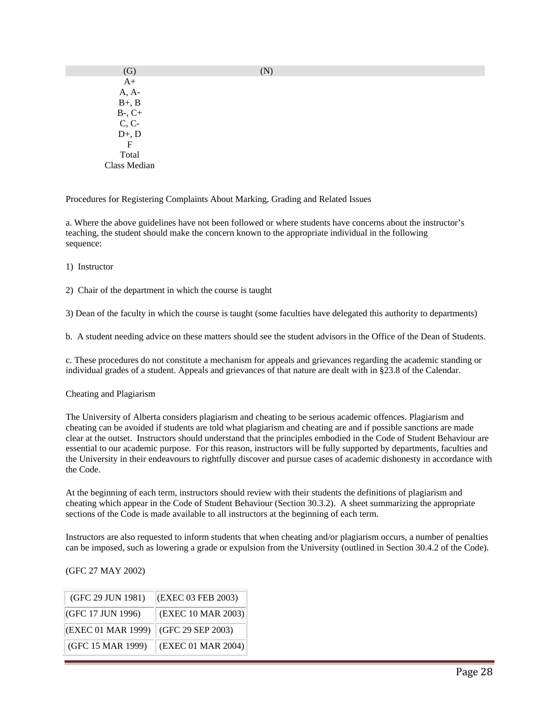| (G)                       | (N) |
|---------------------------|-----|
| $A+$                      |     |
| A, A-                     |     |
| $B+$ , $B$                |     |
| $B-$ , $C+$               |     |
| $C, C-$                   |     |
| $D+$ , $D$                |     |
| $\boldsymbol{\mathrm{F}}$ |     |
| Total                     |     |
| Class Median              |     |
|                           |     |

Procedures for Registering Complaints About Marking, Grading and Related Issues

a. Where the above guidelines have not been followed or where students have concerns about the instructor's teaching, the student should make the concern known to the appropriate individual in the following sequence:

1) Instructor

2) Chair of the department in which the course is taught

3) Dean of the faculty in which the course is taught (some faculties have delegated this authority to departments)

b. A student needing advice on these matters should see the student advisors in the Office of the Dean of Students.

c. These procedures do not constitute a mechanism for appeals and grievances regarding the academic standing or individual grades of a student. Appeals and grievances of that nature are dealt with in §23.8 of the Calendar.

#### Cheating and Plagiarism

The University of Alberta considers plagiarism and cheating to be serious academic offences. Plagiarism and cheating can be avoided if students are told what plagiarism and cheating are and if possible sanctions are made clear at the outset. Instructors should understand that the principles embodied in the Code of Student Behaviour are essential to our academic purpose. For this reason, instructors will be fully supported by departments, faculties and the University in their endeavours to rightfully discover and pursue cases of academic dishonesty in accordance with the Code.

At the beginning of each term, instructors should review with their students the definitions of plagiarism and cheating which appear in the Code of Student Behaviour (Section 30.3.2). A sheet summarizing the appropriate sections of the Code is made available to all instructors at the beginning of each term.

Instructors are also requested to inform students that when cheating and/or plagiarism occurs, a number of penalties can be imposed, such as lowering a grade or expulsion from the University (outlined in Section 30.4.2 of the Code).

(GFC 27 MAY 2002)

| (GFC 29 JUN 1981)  | (EXEC 03 FEB 2003) |
|--------------------|--------------------|
| (GFC 17 JUN 1996)  | (EXEC 10 MAR 2003) |
| (EXEC 01 MAR 1999) | (GFC 29 SEP 2003)  |
| (GFC 15 MAR 1999)  | (EXEC 01 MAR 2004) |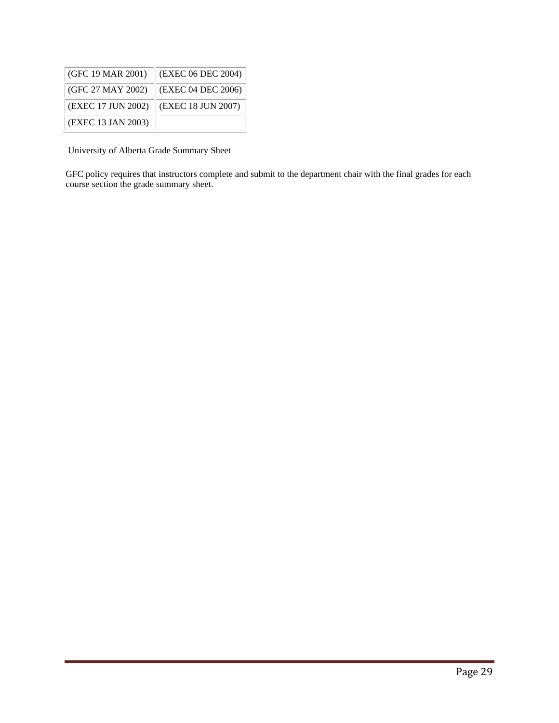| (GFC 19 MAR 2001)  | (EXEC 06 DEC 2004) |
|--------------------|--------------------|
| (GFC 27 MAY 2002)  | (EXEC 04 DEC 2006) |
| (EXEC 17 JUN 2002) | (EXEC 18 JUN 2007) |
| (EXEC 13 JAN 2003) |                    |

University of Alberta Grade Summary Sheet

GFC policy requires that instructors complete and submit to the department chair with the final grades for each course section the grade summary sheet.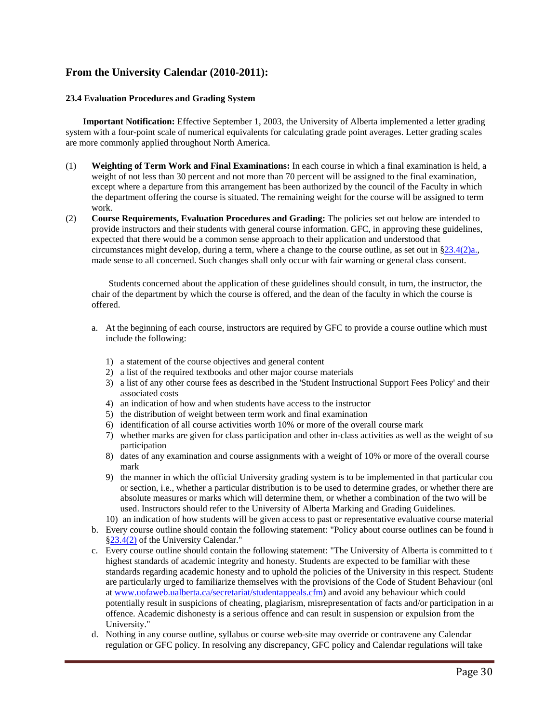### **From the University Calendar (2010-2011):**

#### **23.4 Evaluation Procedures and Grading System**

**Important Notification:** Effective September 1, 2003, the University of Alberta implemented a letter grading system with a four-point scale of numerical equivalents for calculating grade point averages. Letter grading scales are more commonly applied throughout North America.

- (1) **Weighting of Term Work and Final Examinations:** In each course in which a final examination is held, a weight of not less than 30 percent and not more than 70 percent will be assigned to the final examination, except where a departure from this arrangement has been authorized by the council of the Faculty in which the department offering the course is situated. The remaining weight for the course will be assigned to term work.
- (2) **Course Requirements, Evaluation Procedures and Grading:** The policies set out below are intended to provide instructors and their students with general course information. GFC, in approving these guidelines, expected that there would be a common sense approach to their application and understood that circumstances might develop, during a term, where a change to the course outline, as set out in  $\S 23.4(2)a$ . made sense to all concerned. Such changes shall only occur with fair warning or general class consent.

Students concerned about the application of these guidelines should consult, in turn, the instructor, the chair of the department by which the course is offered, and the dean of the faculty in which the course is offered.

- a. At the beginning of each course, instructors are required by GFC to provide a course outline which must include the following:
	- 1) a statement of the course objectives and general content
	- 2) a list of the required textbooks and other major course materials
	- 3) a list of any other course fees as described in the 'Student Instructional Support Fees Policy' and their associated costs
	- 4) an indication of how and when students have access to the instructor
	- 5) the distribution of weight between term work and final examination
	- 6) identification of all course activities worth 10% or more of the overall course mark
	- 7) whether marks are given for class participation and other in-class activities as well as the weight of suc participation
	- 8) dates of any examination and course assignments with a weight of 10% or more of the overall course mark
	- 9) the manner in which the official University grading system is to be implemented in that particular cour or section, i.e., whether a particular distribution is to be used to determine grades, or whether there are absolute measures or marks which will determine them, or whether a combination of the two will be used. Instructors should refer to the University of Alberta Marking and Grading Guidelines.
	- 10) an indication of how students will be given access to past or representative evaluative course material
- b. Every course outline should contain the following statement: "Policy about course outlines can be found in §23.4(2) of the University Calendar."
- c. Every course outline should contain the following statement: "The University of Alberta is committed to the highest standards of academic integrity and honesty. Students are expected to be familiar with these standards regarding academic honesty and to uphold the policies of the University in this respect. Students are particularly urged to familiarize themselves with the provisions of the Code of Student Behaviour (onl at www.uofaweb.ualberta.ca/secretariat/studentappeals.cfm) and avoid any behaviour which could potentially result in suspicions of cheating, plagiarism, misrepresentation of facts and/or participation in an offence. Academic dishonesty is a serious offence and can result in suspension or expulsion from the University."
- d. Nothing in any course outline, syllabus or course web-site may override or contravene any Calendar regulation or GFC policy. In resolving any discrepancy, GFC policy and Calendar regulations will take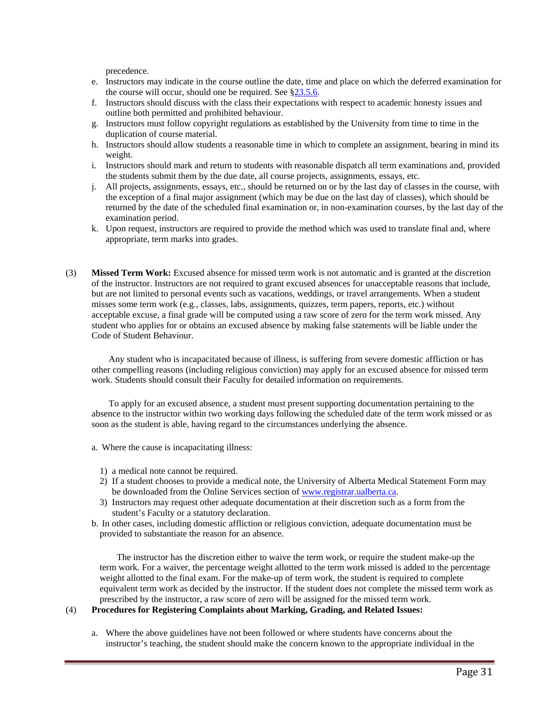precedence.

- e. Instructors may indicate in the course outline the date, time and place on which the deferred examination for the course will occur, should one be required. See §23.5.6.
- f. Instructors should discuss with the class their expectations with respect to academic honesty issues and outline both permitted and prohibited behaviour.
- g. Instructors must follow copyright regulations as established by the University from time to time in the duplication of course material.
- h. Instructors should allow students a reasonable time in which to complete an assignment, bearing in mind its weight.
- i. Instructors should mark and return to students with reasonable dispatch all term examinations and, provided the students submit them by the due date, all course projects, assignments, essays, etc.
- j. All projects, assignments, essays, etc., should be returned on or by the last day of classes in the course, with the exception of a final major assignment (which may be due on the last day of classes), which should be returned by the date of the scheduled final examination or, in non-examination courses, by the last day of the examination period.
- k. Upon request, instructors are required to provide the method which was used to translate final and, where appropriate, term marks into grades.
- (3) **Missed Term Work:** Excused absence for missed term work is not automatic and is granted at the discretion of the instructor. Instructors are not required to grant excused absences for unacceptable reasons that include, but are not limited to personal events such as vacations, weddings, or travel arrangements. When a student misses some term work (e.g., classes, labs, assignments, quizzes, term papers, reports, etc.) without acceptable excuse, a final grade will be computed using a raw score of zero for the term work missed. Any student who applies for or obtains an excused absence by making false statements will be liable under the Code of Student Behaviour.

Any student who is incapacitated because of illness, is suffering from severe domestic affliction or has other compelling reasons (including religious conviction) may apply for an excused absence for missed term work. Students should consult their Faculty for detailed information on requirements.

To apply for an excused absence, a student must present supporting documentation pertaining to the absence to the instructor within two working days following the scheduled date of the term work missed or as soon as the student is able, having regard to the circumstances underlying the absence.

- a. Where the cause is incapacitating illness:
	- 1) a medical note cannot be required.
	- 2) If a student chooses to provide a medical note, the University of Alberta Medical Statement Form may be downloaded from the Online Services section of www.registrar.ualberta.ca.
	- 3) Instructors may request other adequate documentation at their discretion such as a form from the student's Faculty or a statutory declaration.
- b. In other cases, including domestic affliction or religious conviction, adequate documentation must be provided to substantiate the reason for an absence.

The instructor has the discretion either to waive the term work, or require the student make-up the term work. For a waiver, the percentage weight allotted to the term work missed is added to the percentage weight allotted to the final exam. For the make-up of term work, the student is required to complete equivalent term work as decided by the instructor. If the student does not complete the missed term work as prescribed by the instructor, a raw score of zero will be assigned for the missed term work.

#### (4) **Procedures for Registering Complaints about Marking, Grading, and Related Issues:**

a. Where the above guidelines have not been followed or where students have concerns about the instructor's teaching, the student should make the concern known to the appropriate individual in the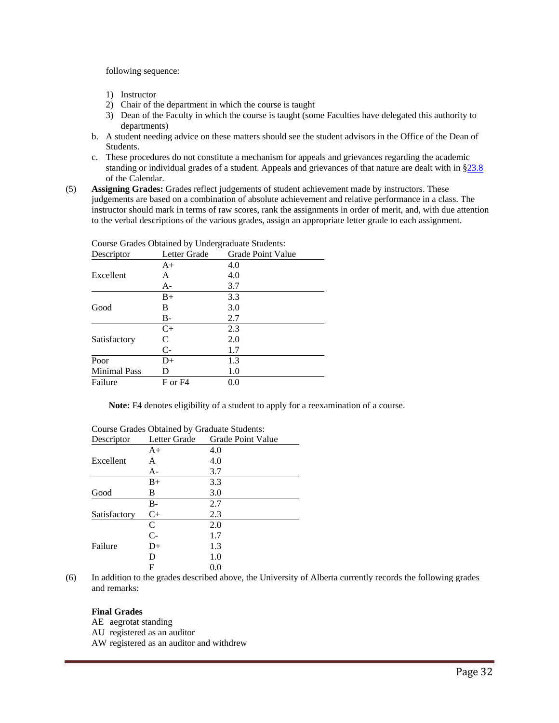following sequence:

- 1) Instructor
- 2) Chair of the department in which the course is taught
- 3) Dean of the Faculty in which the course is taught (some Faculties have delegated this authority to departments)
- b. A student needing advice on these matters should see the student advisors in the Office of the Dean of Students.
- c. These procedures do not constitute a mechanism for appeals and grievances regarding the academic standing or individual grades of a student. Appeals and grievances of that nature are dealt with in §23.8 of the Calendar.
- (5) **Assigning Grades:** Grades reflect judgements of student achievement made by instructors. These judgements are based on a combination of absolute achievement and relative performance in a class. The instructor should mark in terms of raw scores, rank the assignments in order of merit, and, with due attention to the verbal descriptions of the various grades, assign an appropriate letter grade to each assignment.

| Descriptor          | Letter Grade | Grade Point Value |
|---------------------|--------------|-------------------|
|                     | $A+$         | 4.0               |
| Excellent           | A            | 4.0               |
|                     | A-           | 3.7               |
|                     | $B+$         | 3.3               |
| Good                | В            | 3.0               |
|                     | B-           | 2.7               |
|                     | $C+$         | 2.3               |
| Satisfactory        | C            | 2.0               |
|                     | $C-$         | 1.7               |
| Poor                | D+           | 1.3               |
| <b>Minimal Pass</b> | D            | 1.0               |
| Failure             | F or F4      | 0.0               |
|                     |              |                   |

Course Grades Obtained by Undergraduate Students:

**Note:** F4 denotes eligibility of a student to apply for a reexamination of a course.

| Descriptor   | Letter Grade | Grade Point Value |
|--------------|--------------|-------------------|
|              | $A+$         | 4.0               |
| Excellent    | A            | 4.0               |
|              | A-           | 3.7               |
|              | $B+$         | 3.3               |
| Good         | в            | 3.0               |
|              | $B-$         | 2.7               |
| Satisfactory | $C+$         | 2.3               |
|              | C            | 2.0               |
|              | $C-$         | 1.7               |
| Failure      | D+           | 1.3               |
|              | D            | 1.0               |
|              | F            | 0.0               |

# Course Grades Obtained by Graduate Students:

(6) In addition to the grades described above, the University of Alberta currently records the following grades and remarks:

#### **Final Grades**

- AE aegrotat standing
- AU registered as an auditor
- AW registered as an auditor and withdrew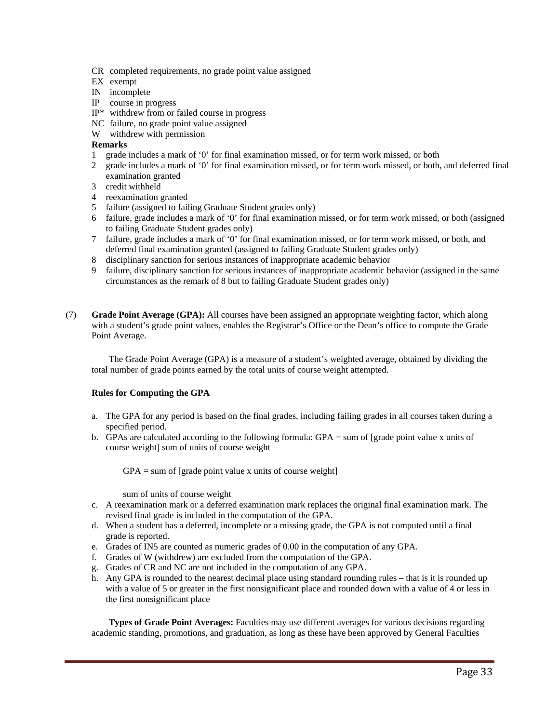- CR completed requirements, no grade point value assigned
- EX exempt
- IN incomplete
- IP course in progress
- IP\* withdrew from or failed course in progress
- NC failure, no grade point value assigned
- W withdrew with permission

#### **Remarks**

- 1 grade includes a mark of '0' for final examination missed, or for term work missed, or both
- 2 grade includes a mark of '0' for final examination missed, or for term work missed, or both, and deferred final examination granted
- 3 credit withheld
- 4 reexamination granted
- 5 failure (assigned to failing Graduate Student grades only)
- 6 failure, grade includes a mark of '0' for final examination missed, or for term work missed, or both (assigned to failing Graduate Student grades only)
- 7 failure, grade includes a mark of '0' for final examination missed, or for term work missed, or both, and deferred final examination granted (assigned to failing Graduate Student grades only)
- 8 disciplinary sanction for serious instances of inappropriate academic behavior
- 9 failure, disciplinary sanction for serious instances of inappropriate academic behavior (assigned in the same circumstances as the remark of 8 but to failing Graduate Student grades only)
- (7) **Grade Point Average (GPA):** All courses have been assigned an appropriate weighting factor, which along with a student's grade point values, enables the Registrar's Office or the Dean's office to compute the Grade Point Average.

The Grade Point Average (GPA) is a measure of a student's weighted average, obtained by dividing the total number of grade points earned by the total units of course weight attempted.

#### **Rules for Computing the GPA**

- a. The GPA for any period is based on the final grades, including failing grades in all courses taken during a specified period.
- b. GPAs are calculated according to the following formula: GPA = sum of [grade point value x units of course weight] sum of units of course weight

 $GPA = sum of [grade point value x units of course weight]$ 

sum of units of course weight

- c. A reexamination mark or a deferred examination mark replaces the original final examination mark. The revised final grade is included in the computation of the GPA.
- d. When a student has a deferred, incomplete or a missing grade, the GPA is not computed until a final grade is reported.
- e. Grades of IN5 are counted as numeric grades of 0.00 in the computation of any GPA.
- f. Grades of W (withdrew) are excluded from the computation of the GPA.
- g. Grades of CR and NC are not included in the computation of any GPA.
- h. Any GPA is rounded to the nearest decimal place using standard rounding rules that is it is rounded up with a value of 5 or greater in the first nonsignificant place and rounded down with a value of 4 or less in the first nonsignificant place

**Types of Grade Point Averages:** Faculties may use different averages for various decisions regarding academic standing, promotions, and graduation, as long as these have been approved by General Faculties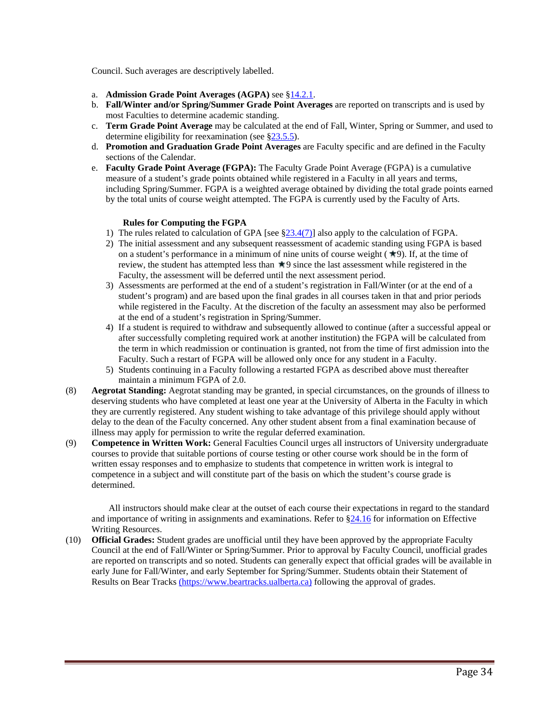Council. Such averages are descriptively labelled.

- a. **Admission Grade Point Averages (AGPA)** see §14.2.1.
- b. **Fall/Winter and/or Spring/Summer Grade Point Averages** are reported on transcripts and is used by most Faculties to determine academic standing.
- c. **Term Grade Point Average** may be calculated at the end of Fall, Winter, Spring or Summer, and used to determine eligibility for reexamination (see §23.5.5).
- d. **Promotion and Graduation Grade Point Averages** are Faculty specific and are defined in the Faculty sections of the Calendar.
- e. **Faculty Grade Point Average (FGPA):** The Faculty Grade Point Average (FGPA) is a cumulative measure of a student's grade points obtained while registered in a Faculty in all years and terms, including Spring/Summer. FGPA is a weighted average obtained by dividing the total grade points earned by the total units of course weight attempted. The FGPA is currently used by the Faculty of Arts.

#### **Rules for Computing the FGPA**

- 1) The rules related to calculation of GPA [see §23.4(7)] also apply to the calculation of FGPA.
- 2) The initial assessment and any subsequent reassessment of academic standing using FGPA is based on a student's performance in a minimum of nine units of course weight  $(\star$ 9). If, at the time of review, the student has attempted less than  $\pi$ 9 since the last assessment while registered in the Faculty, the assessment will be deferred until the next assessment period.
- 3) Assessments are performed at the end of a student's registration in Fall/Winter (or at the end of a student's program) and are based upon the final grades in all courses taken in that and prior periods while registered in the Faculty. At the discretion of the faculty an assessment may also be performed at the end of a student's registration in Spring/Summer.
- 4) If a student is required to withdraw and subsequently allowed to continue (after a successful appeal or after successfully completing required work at another institution) the FGPA will be calculated from the term in which readmission or continuation is granted, not from the time of first admission into the Faculty. Such a restart of FGPA will be allowed only once for any student in a Faculty.
- 5) Students continuing in a Faculty following a restarted FGPA as described above must thereafter maintain a minimum FGPA of 2.0.
- (8) **Aegrotat Standing:** Aegrotat standing may be granted, in special circumstances, on the grounds of illness to deserving students who have completed at least one year at the University of Alberta in the Faculty in which they are currently registered. Any student wishing to take advantage of this privilege should apply without delay to the dean of the Faculty concerned. Any other student absent from a final examination because of illness may apply for permission to write the regular deferred examination.
- (9) **Competence in Written Work:** General Faculties Council urges all instructors of University undergraduate courses to provide that suitable portions of course testing or other course work should be in the form of written essay responses and to emphasize to students that competence in written work is integral to competence in a subject and will constitute part of the basis on which the student's course grade is determined.

All instructors should make clear at the outset of each course their expectations in regard to the standard and importance of writing in assignments and examinations. Refer to §24.16 for information on Effective Writing Resources.

(10) **Official Grades:** Student grades are unofficial until they have been approved by the appropriate Faculty Council at the end of Fall/Winter or Spring/Summer. Prior to approval by Faculty Council, unofficial grades are reported on transcripts and so noted. Students can generally expect that official grades will be available in early June for Fall/Winter, and early September for Spring/Summer. Students obtain their Statement of Results on Bear Tracks (https://www.beartracks.ualberta.ca) following the approval of grades.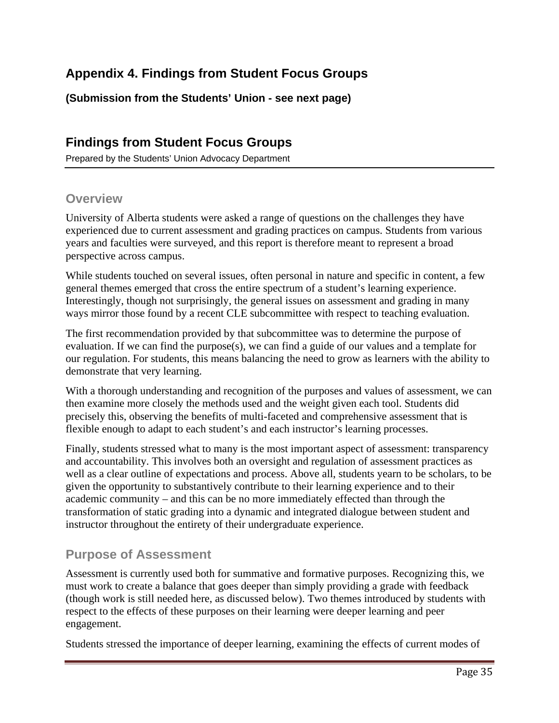# **Appendix 4. Findings from Student Focus Groups**

**(Submission from the Students' Union - see next page)** 

# **Findings from Student Focus Groups**

Prepared by the Students' Union Advocacy Department

## **Overview**

University of Alberta students were asked a range of questions on the challenges they have experienced due to current assessment and grading practices on campus. Students from various years and faculties were surveyed, and this report is therefore meant to represent a broad perspective across campus.

While students touched on several issues, often personal in nature and specific in content, a few general themes emerged that cross the entire spectrum of a student's learning experience. Interestingly, though not surprisingly, the general issues on assessment and grading in many ways mirror those found by a recent CLE subcommittee with respect to teaching evaluation.

The first recommendation provided by that subcommittee was to determine the purpose of evaluation. If we can find the purpose(s), we can find a guide of our values and a template for our regulation. For students, this means balancing the need to grow as learners with the ability to demonstrate that very learning.

With a thorough understanding and recognition of the purposes and values of assessment, we can then examine more closely the methods used and the weight given each tool. Students did precisely this, observing the benefits of multi-faceted and comprehensive assessment that is flexible enough to adapt to each student's and each instructor's learning processes.

Finally, students stressed what to many is the most important aspect of assessment: transparency and accountability. This involves both an oversight and regulation of assessment practices as well as a clear outline of expectations and process. Above all, students yearn to be scholars, to be given the opportunity to substantively contribute to their learning experience and to their academic community – and this can be no more immediately effected than through the transformation of static grading into a dynamic and integrated dialogue between student and instructor throughout the entirety of their undergraduate experience.

# **Purpose of Assessment**

Assessment is currently used both for summative and formative purposes. Recognizing this, we must work to create a balance that goes deeper than simply providing a grade with feedback (though work is still needed here, as discussed below). Two themes introduced by students with respect to the effects of these purposes on their learning were deeper learning and peer engagement.

Students stressed the importance of deeper learning, examining the effects of current modes of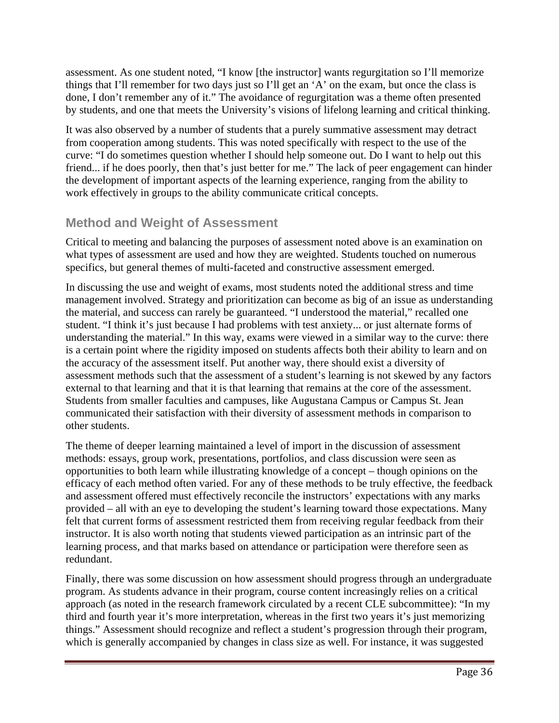assessment. As one student noted, "I know [the instructor] wants regurgitation so I'll memorize things that I'll remember for two days just so I'll get an 'A' on the exam, but once the class is done, I don't remember any of it." The avoidance of regurgitation was a theme often presented by students, and one that meets the University's visions of lifelong learning and critical thinking.

It was also observed by a number of students that a purely summative assessment may detract from cooperation among students. This was noted specifically with respect to the use of the curve: "I do sometimes question whether I should help someone out. Do I want to help out this friend... if he does poorly, then that's just better for me." The lack of peer engagement can hinder the development of important aspects of the learning experience, ranging from the ability to work effectively in groups to the ability communicate critical concepts.

# **Method and Weight of Assessment**

Critical to meeting and balancing the purposes of assessment noted above is an examination on what types of assessment are used and how they are weighted. Students touched on numerous specifics, but general themes of multi-faceted and constructive assessment emerged.

In discussing the use and weight of exams, most students noted the additional stress and time management involved. Strategy and prioritization can become as big of an issue as understanding the material, and success can rarely be guaranteed. "I understood the material," recalled one student. "I think it's just because I had problems with test anxiety... or just alternate forms of understanding the material." In this way, exams were viewed in a similar way to the curve: there is a certain point where the rigidity imposed on students affects both their ability to learn and on the accuracy of the assessment itself. Put another way, there should exist a diversity of assessment methods such that the assessment of a student's learning is not skewed by any factors external to that learning and that it is that learning that remains at the core of the assessment. Students from smaller faculties and campuses, like Augustana Campus or Campus St. Jean communicated their satisfaction with their diversity of assessment methods in comparison to other students.

The theme of deeper learning maintained a level of import in the discussion of assessment methods: essays, group work, presentations, portfolios, and class discussion were seen as opportunities to both learn while illustrating knowledge of a concept – though opinions on the efficacy of each method often varied. For any of these methods to be truly effective, the feedback and assessment offered must effectively reconcile the instructors' expectations with any marks provided – all with an eye to developing the student's learning toward those expectations. Many felt that current forms of assessment restricted them from receiving regular feedback from their instructor. It is also worth noting that students viewed participation as an intrinsic part of the learning process, and that marks based on attendance or participation were therefore seen as redundant.

Finally, there was some discussion on how assessment should progress through an undergraduate program. As students advance in their program, course content increasingly relies on a critical approach (as noted in the research framework circulated by a recent CLE subcommittee): "In my third and fourth year it's more interpretation, whereas in the first two years it's just memorizing things." Assessment should recognize and reflect a student's progression through their program, which is generally accompanied by changes in class size as well. For instance, it was suggested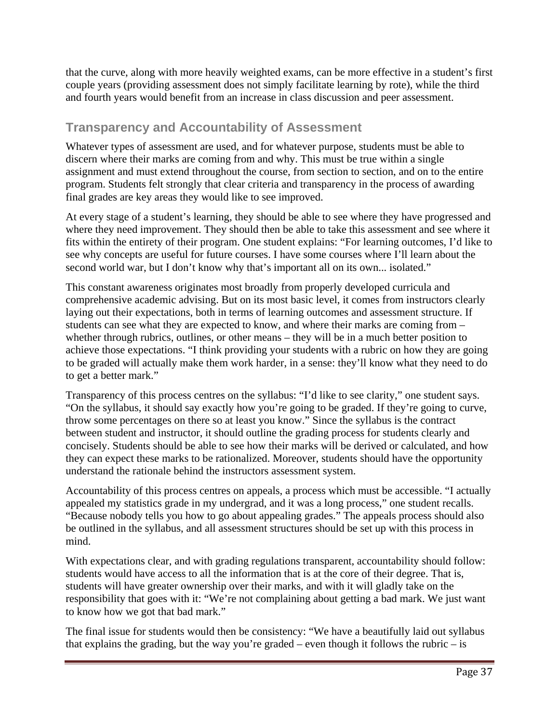that the curve, along with more heavily weighted exams, can be more effective in a student's first couple years (providing assessment does not simply facilitate learning by rote), while the third and fourth years would benefit from an increase in class discussion and peer assessment.

# **Transparency and Accountability of Assessment**

Whatever types of assessment are used, and for whatever purpose, students must be able to discern where their marks are coming from and why. This must be true within a single assignment and must extend throughout the course, from section to section, and on to the entire program. Students felt strongly that clear criteria and transparency in the process of awarding final grades are key areas they would like to see improved.

At every stage of a student's learning, they should be able to see where they have progressed and where they need improvement. They should then be able to take this assessment and see where it fits within the entirety of their program. One student explains: "For learning outcomes, I'd like to see why concepts are useful for future courses. I have some courses where I'll learn about the second world war, but I don't know why that's important all on its own... isolated."

This constant awareness originates most broadly from properly developed curricula and comprehensive academic advising. But on its most basic level, it comes from instructors clearly laying out their expectations, both in terms of learning outcomes and assessment structure. If students can see what they are expected to know, and where their marks are coming from – whether through rubrics, outlines, or other means – they will be in a much better position to achieve those expectations. "I think providing your students with a rubric on how they are going to be graded will actually make them work harder, in a sense: they'll know what they need to do to get a better mark."

Transparency of this process centres on the syllabus: "I'd like to see clarity," one student says. "On the syllabus, it should say exactly how you're going to be graded. If they're going to curve, throw some percentages on there so at least you know." Since the syllabus is the contract between student and instructor, it should outline the grading process for students clearly and concisely. Students should be able to see how their marks will be derived or calculated, and how they can expect these marks to be rationalized. Moreover, students should have the opportunity understand the rationale behind the instructors assessment system.

Accountability of this process centres on appeals, a process which must be accessible. "I actually appealed my statistics grade in my undergrad, and it was a long process," one student recalls. "Because nobody tells you how to go about appealing grades." The appeals process should also be outlined in the syllabus, and all assessment structures should be set up with this process in mind.

With expectations clear, and with grading regulations transparent, accountability should follow: students would have access to all the information that is at the core of their degree. That is, students will have greater ownership over their marks, and with it will gladly take on the responsibility that goes with it: "We're not complaining about getting a bad mark. We just want to know how we got that bad mark."

The final issue for students would then be consistency: "We have a beautifully laid out syllabus that explains the grading, but the way you're graded – even though it follows the rubric – is